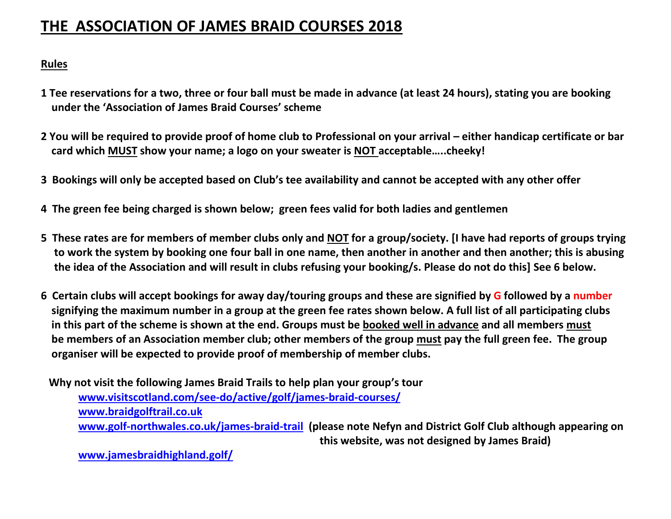## **THE ASSOCIATION OF JAMES BRAID COURSES 2018**

## **Rules**

- **1 Tee reservations for a two, three or four ball must be made in advance (at least 24 hours), stating you are booking under the 'Association of James Braid Courses' scheme**
- **2 You will be required to provide proof of home club to Professional on your arrival – either handicap certificate or bar card which MUST show your name; a logo on your sweater is NOT acceptable…..cheeky!**
- **3 Bookings will only be accepted based on Club's tee availability and cannot be accepted with any other offer**
- **4 The green fee being charged is shown below; green fees valid for both ladies and gentlemen**
- **5 These rates are for members of member clubs only and NOT for a group/society. [I have had reports of groups trying to work the system by booking one four ball in one name, then another in another and then another; this is abusing the idea of the Association and will result in clubs refusing your booking/s. Please do not do this] See 6 below.**
- **6 Certain clubs will accept bookings for away day/touring groups and these are signified by G followed by a number signifying the maximum number in a group at the green fee rates shown below. A full list of all participating clubs in this part of the scheme is shown at the end. Groups must be booked well in advance and all members must be members of an Association member club; other members of the group must pay the full green fee. The group organiser will be expected to provide proof of membership of member clubs.**

 **Why not visit the following James Braid Trails to help plan your group's tour [www.visitscotland.com/see-do/active/golf/james-braid-courses/](http://www.visitscotland.com/see-do/active/golf/james-braid-courses/) [www.braidgolftrail.co.uk](http://www.braidgolftrail.co.uk/) [www.golf-northwales.co.uk/james-braid-trail](http://www.golf-northwales.co.uk/james-braid-trail) (please note Nefyn and District Golf Club although appearing on this website, was not designed by James Braid)**

 **[www.jamesbraidhighland.golf/](http://www.jamesbraidhighland.golf/)**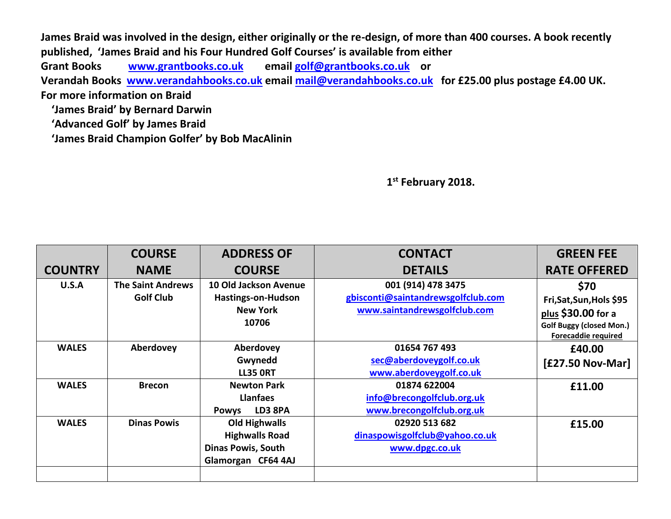**James Braid was involved in the design, either originally or the re-design, of more than 400 courses. A book recently published, 'James Braid and his Four Hundred Golf Courses' is available from either Grant Books [www.grantbooks.co.uk](http://www.grantbooks.co.uk/) email [golf@grantbooks.co.uk](mailto:golf@grantbooks.co.uk) or Verandah Books [www.verandahbooks.co.uk](http://www.verandahbooks.co.uk/) email [mail@verandahbooks.co.uk](mailto:mail@verandahbooks.co.uk) for £25.00 plus postage £4.00 UK. For more information on Braid 'James Braid' by Bernard Darwin 'Advanced Golf' by James Braid**

 **'James Braid Champion Golfer' by Bob MacAlinin**

 **1 st February 2018.**

|                | <b>COURSE</b>                                | <b>ADDRESS OF</b>                                                                                | <b>CONTACT</b>                                                                           | <b>GREEN FEE</b>                                                                                                 |
|----------------|----------------------------------------------|--------------------------------------------------------------------------------------------------|------------------------------------------------------------------------------------------|------------------------------------------------------------------------------------------------------------------|
| <b>COUNTRY</b> | <b>NAME</b>                                  | <b>COURSE</b>                                                                                    | <b>DETAILS</b>                                                                           | <b>RATE OFFERED</b>                                                                                              |
| U.S.A          | <b>The Saint Andrews</b><br><b>Golf Club</b> | <b>10 Old Jackson Avenue</b><br><b>Hastings-on-Hudson</b><br><b>New York</b><br>10706            | 001 (914) 478 3475<br>gbisconti@saintandrewsgolfclub.com<br>www.saintandrewsgolfclub.com | \$70<br>Fri, Sat, Sun, Hols \$95<br>plus \$30.00 for a<br><b>Golf Buggy (closed Mon.)</b><br>Forecaddie required |
| <b>WALES</b>   | Aberdovey                                    | Aberdovey<br>Gwynedd<br><b>LL35 ORT</b>                                                          | 01654 767 493<br>sec@aberdoveygolf.co.uk<br>www.aberdoveygolf.co.uk                      | £40.00<br>[£27.50 Nov-Mar]                                                                                       |
| <b>WALES</b>   | <b>Brecon</b>                                | <b>Newton Park</b><br><b>Llanfaes</b><br>LD3 8PA<br><b>Powys</b>                                 | 01874 622004<br>info@brecongolfclub.org.uk<br>www.brecongolfclub.org.uk                  | £11.00                                                                                                           |
| <b>WALES</b>   | <b>Dinas Powis</b>                           | <b>Old Highwalls</b><br><b>Highwalls Road</b><br><b>Dinas Powis, South</b><br>Glamorgan CF64 4AJ | 02920 513 682<br>dinaspowisgolfclub@yahoo.co.uk<br>www.dpgc.co.uk                        | £15.00                                                                                                           |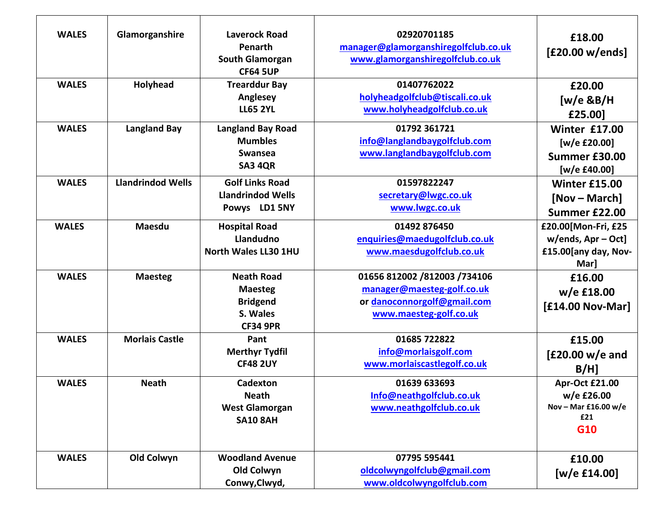| <b>WALES</b> | Glamorganshire           | <b>Laverock Road</b><br>Penarth<br><b>South Glamorgan</b><br><b>CF64 5UP</b> | 02920701185<br>manager@glamorganshiregolfclub.co.uk<br>www.glamorganshiregolfclub.co.uk | £18.00<br>[£20.00 w/ends] |
|--------------|--------------------------|------------------------------------------------------------------------------|-----------------------------------------------------------------------------------------|---------------------------|
| <b>WALES</b> | Holyhead                 | <b>Trearddur Bay</b>                                                         | 01407762022                                                                             | £20.00                    |
|              |                          | Anglesey                                                                     | holyheadgolfclub@tiscali.co.uk                                                          | [ $w/e$ &B/H              |
|              |                          | <b>LL65 2YL</b>                                                              | www.holyheadgolfclub.co.uk                                                              | £25.00]                   |
| <b>WALES</b> | <b>Langland Bay</b>      | <b>Langland Bay Road</b>                                                     | 01792 361721                                                                            | Winter £17.00             |
|              |                          | <b>Mumbles</b>                                                               | info@langlandbaygolfclub.com                                                            | [w/e £20.00]              |
|              |                          | <b>Swansea</b>                                                               | www.langlandbaygolfclub.com                                                             | Summer £30.00             |
|              |                          | <b>SA3 4QR</b>                                                               |                                                                                         | [w/e £40.00]              |
| <b>WALES</b> | <b>Llandrindod Wells</b> | <b>Golf Links Road</b>                                                       | 01597822247                                                                             | <b>Winter £15.00</b>      |
|              |                          | <b>Llandrindod Wells</b>                                                     | secretary@lwgc.co.uk                                                                    | [Nov – March]             |
|              |                          | Powys LD1 5NY                                                                | www.lwgc.co.uk                                                                          | Summer £22.00             |
| <b>WALES</b> | Maesdu                   | <b>Hospital Road</b>                                                         | 01492 876450                                                                            | £20.00[Mon-Fri, £25       |
|              |                          | Llandudno                                                                    | enquiries@maedugolfclub.co.uk                                                           | $w/ends$ , Apr – Oct]     |
|              |                          | North Wales LL30 1HU                                                         | www.maesdugolfclub.co.uk                                                                | £15.00[any day, Nov-      |
|              |                          |                                                                              |                                                                                         | Mar]                      |
| <b>WALES</b> | <b>Maesteg</b>           | <b>Neath Road</b>                                                            | 01656 812002 /812003 /734106                                                            | £16.00                    |
|              |                          | <b>Maesteg</b>                                                               | manager@maesteg-golf.co.uk                                                              | $w/e$ £18.00              |
|              |                          | <b>Bridgend</b>                                                              | or danoconnorgolf@gmail.com                                                             | [£14.00 Nov-Mar]          |
|              |                          | S. Wales                                                                     | www.maesteg-golf.co.uk                                                                  |                           |
|              |                          | <b>CF34 9PR</b>                                                              |                                                                                         |                           |
| <b>WALES</b> | <b>Morlais Castle</b>    | Pant                                                                         | 01685 722822                                                                            | £15.00                    |
|              |                          | <b>Merthyr Tydfil</b><br><b>CF48 2UY</b>                                     | info@morlaisgolf.com                                                                    | $[£20.00 w/e$ and         |
|              |                          |                                                                              | www.morlaiscastlegolf.co.uk                                                             | $B/H$ ]                   |
| <b>WALES</b> | <b>Neath</b>             | Cadexton                                                                     | 01639 633693                                                                            | Apr-Oct £21.00            |
|              |                          | <b>Neath</b>                                                                 | Info@neathgolfclub.co.uk                                                                | w/e £26.00                |
|              |                          | <b>West Glamorgan</b>                                                        | www.neathgolfclub.co.uk                                                                 | Nov - Mar £16.00 w/e      |
|              |                          | <b>SA10 8AH</b>                                                              |                                                                                         | £21<br>G10                |
|              |                          |                                                                              |                                                                                         |                           |
| <b>WALES</b> | Old Colwyn               | <b>Woodland Avenue</b>                                                       | 07795 595441                                                                            | £10.00                    |
|              |                          | Old Colwyn                                                                   | oldcolwyngolfclub@gmail.com                                                             | [w/e £14.00]              |
|              |                          | Conwy, Clwyd,                                                                | www.oldcolwyngolfclub.com                                                               |                           |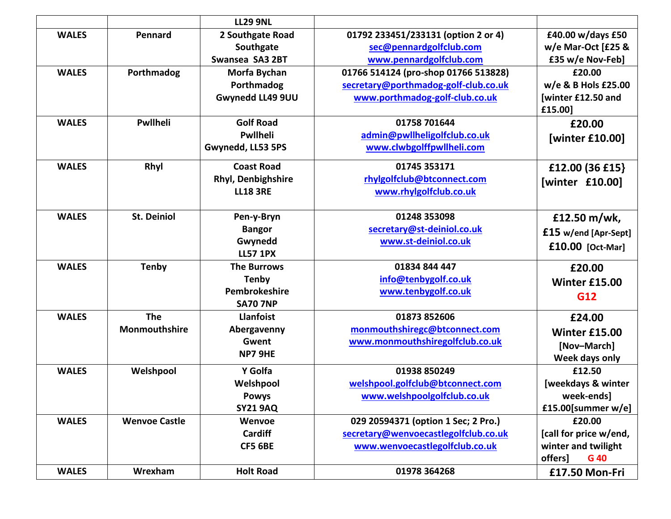|              |                      | <b>LL29 9NL</b>    |                                      |                        |
|--------------|----------------------|--------------------|--------------------------------------|------------------------|
| <b>WALES</b> | Pennard              | 2 Southgate Road   | 01792 233451/233131 (option 2 or 4)  | £40.00 w/days £50      |
|              |                      | Southgate          | sec@pennardgolfclub.com              | w/e Mar-Oct [£25 &     |
|              |                      | Swansea SA3 2BT    | www.pennardgolfclub.com              | £35 w/e Nov-Feb]       |
| <b>WALES</b> | Porthmadog           | Morfa Bychan       | 01766 514124 (pro-shop 01766 513828) | £20.00                 |
|              |                      | Porthmadog         | secretary@porthmadog-golf-club.co.uk | w/e & B Hols £25.00    |
|              |                      | Gwynedd LL49 9UU   | www.porthmadog-golf-club.co.uk       | [winter £12.50 and     |
|              |                      |                    |                                      | £15.00]                |
| <b>WALES</b> | Pwllheli             | <b>Golf Road</b>   | 01758 701644                         | £20.00                 |
|              |                      | <b>Pwllheli</b>    | admin@pwllheligolfclub.co.uk         | [winter £10.00]        |
|              |                      | Gwynedd, LL53 5PS  | www.clwbgolffpwllheli.com            |                        |
| <b>WALES</b> | Rhyl                 | <b>Coast Road</b>  | 01745 353171                         | £12.00 (36 £15)        |
|              |                      | Rhyl, Denbighshire | rhylgolfclub@btconnect.com           | [winter £10.00]        |
|              |                      | <b>LL18 3RE</b>    | www.rhylgolfclub.co.uk               |                        |
|              |                      |                    |                                      |                        |
| <b>WALES</b> | <b>St. Deiniol</b>   | Pen-y-Bryn         | 01248 353098                         | £12.50 m/wk,           |
|              |                      | <b>Bangor</b>      | secretary@st-deiniol.co.uk           | £15 w/end [Apr-Sept]   |
|              |                      | Gwynedd            | www.st-deiniol.co.uk                 | $£10.00$ [Oct-Mar]     |
|              |                      | <b>LL57 1PX</b>    |                                      |                        |
| <b>WALES</b> | <b>Tenby</b>         | <b>The Burrows</b> | 01834 844 447                        | £20.00                 |
|              |                      | <b>Tenby</b>       | info@tenbygolf.co.uk                 | <b>Winter £15.00</b>   |
|              |                      | Pembrokeshire      | www.tenbygolf.co.uk                  | G12                    |
|              |                      | <b>SA70 7NP</b>    |                                      |                        |
| <b>WALES</b> | <b>The</b>           | <b>Llanfoist</b>   | 01873 852606                         | £24.00                 |
|              | <b>Monmouthshire</b> | Abergavenny        | monmouthshiregc@btconnect.com        | <b>Winter £15.00</b>   |
|              |                      | Gwent              | www.monmouthshiregolfclub.co.uk      | [Nov-March]            |
|              |                      | NP7 9HE            |                                      | Week days only         |
| <b>WALES</b> | Welshpool            | Y Golfa            | 01938 850249                         | £12.50                 |
|              |                      | Welshpool          | welshpool.golfclub@btconnect.com     | [weekdays & winter     |
|              |                      | <b>Powys</b>       | www.welshpoolgolfclub.co.uk          | week-ends]             |
|              |                      | <b>SY21 9AQ</b>    |                                      | £15.00 [summer $w/e$ ] |
| <b>WALES</b> | <b>Wenvoe Castle</b> | Wenvoe             | 029 20594371 (option 1 Sec; 2 Pro.)  | £20.00                 |
|              |                      | <b>Cardiff</b>     | secretary@wenvoecastlegolfclub.co.uk | [call for price w/end, |
|              |                      | <b>CF5 6BE</b>     | www.wenvoecastlegolfclub.co.uk       | winter and twilight    |
|              |                      |                    |                                      | offers]<br>G 40        |
| <b>WALES</b> | Wrexham              | <b>Holt Road</b>   | 01978 364268                         | £17.50 Mon-Fri         |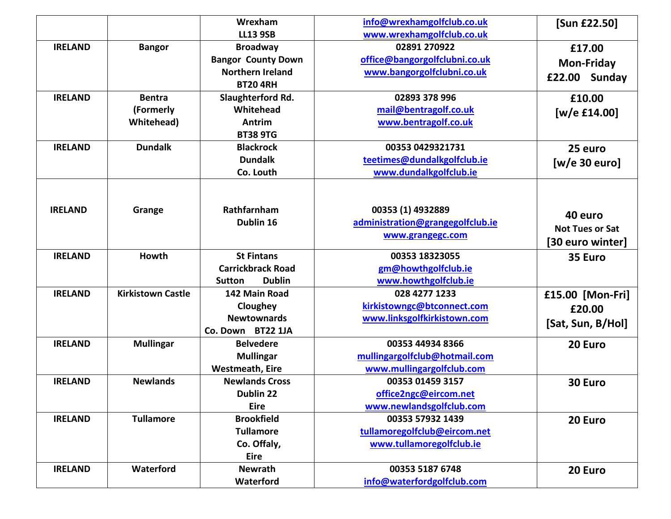|                |                          | Wrexham                        | info@wrexhamgolfclub.co.uk       | [Sun £22.50]           |
|----------------|--------------------------|--------------------------------|----------------------------------|------------------------|
|                |                          | <b>LL13 9SB</b>                | www.wrexhamgolfclub.co.uk        |                        |
| <b>IRELAND</b> | <b>Bangor</b>            | <b>Broadway</b>                | 02891 270922                     | £17.00                 |
|                |                          | <b>Bangor County Down</b>      | office@bangorgolfclubni.co.uk    | <b>Mon-Friday</b>      |
|                |                          | <b>Northern Ireland</b>        | www.bangorgolfclubni.co.uk       | £22.00 Sunday          |
|                |                          | <b>BT20 4RH</b>                |                                  |                        |
| <b>IRELAND</b> | <b>Bentra</b>            | Slaughterford Rd.              | 02893 378 996                    | £10.00                 |
|                | (Formerly                | Whitehead                      | mail@bentragolf.co.uk            | [w/e $£14.00$ ]        |
|                | <b>Whitehead</b> )       | Antrim                         | www.bentragolf.co.uk             |                        |
|                |                          | <b>BT38 9TG</b>                |                                  |                        |
| <b>IRELAND</b> | <b>Dundalk</b>           | <b>Blackrock</b>               | 00353 0429321731                 | 25 euro                |
|                |                          | <b>Dundalk</b>                 | teetimes@dundalkgolfclub.ie      | [w/e 30 euro]          |
|                |                          | Co. Louth                      | www.dundalkgolfclub.ie           |                        |
|                |                          |                                |                                  |                        |
|                |                          |                                |                                  |                        |
| <b>IRELAND</b> | Grange                   | Rathfarnham                    | 00353 (1) 4932889                | 40 euro                |
|                |                          | Dublin 16                      | administration@grangegolfclub.ie | <b>Not Tues or Sat</b> |
|                |                          |                                | www.grangegc.com                 | [30 euro winter]       |
| <b>IRELAND</b> | <b>Howth</b>             | <b>St Fintans</b>              | 00353 18323055                   | 35 Euro                |
|                |                          | <b>Carrickbrack Road</b>       | gm@howthgolfclub.ie              |                        |
|                |                          | <b>Dublin</b><br><b>Sutton</b> | www.howthgolfclub.ie             |                        |
| <b>IRELAND</b> | <b>Kirkistown Castle</b> | 142 Main Road                  | 028 4277 1233                    | £15.00 [Mon-Fri]       |
|                |                          | Cloughey                       | kirkistowngc@btconnect.com       | £20.00                 |
|                |                          | <b>Newtownards</b>             | www.linksgolfkirkistown.com      |                        |
|                |                          | Co. Down BT22 1JA              |                                  | [Sat, Sun, B/Hol]      |
| <b>IRELAND</b> | <b>Mullingar</b>         | <b>Belvedere</b>               | 00353 44934 8366                 | 20 Euro                |
|                |                          | <b>Mullingar</b>               | mullingargolfclub@hotmail.com    |                        |
|                |                          | <b>Westmeath, Eire</b>         | www.mullingargolfclub.com        |                        |
| <b>IRELAND</b> | <b>Newlands</b>          | <b>Newlands Cross</b>          | 00353 01459 3157                 | 30 Euro                |
|                |                          | Dublin 22                      | office2ngc@eircom.net            |                        |
|                |                          | <b>Eire</b>                    | www.newlandsgolfclub.com         |                        |
| <b>IRELAND</b> | <b>Tullamore</b>         | <b>Brookfield</b>              | 00353 57932 1439                 | 20 Euro                |
|                |                          | <b>Tullamore</b>               | tullamoregolfclub@eircom.net     |                        |
|                |                          | Co. Offaly,                    | www.tullamoregolfclub.ie         |                        |
|                |                          | <b>Eire</b>                    |                                  |                        |
| <b>IRELAND</b> | Waterford                | <b>Newrath</b>                 | 00353 5187 6748                  | 20 Euro                |
|                |                          | Waterford                      | info@waterfordgolfclub.com       |                        |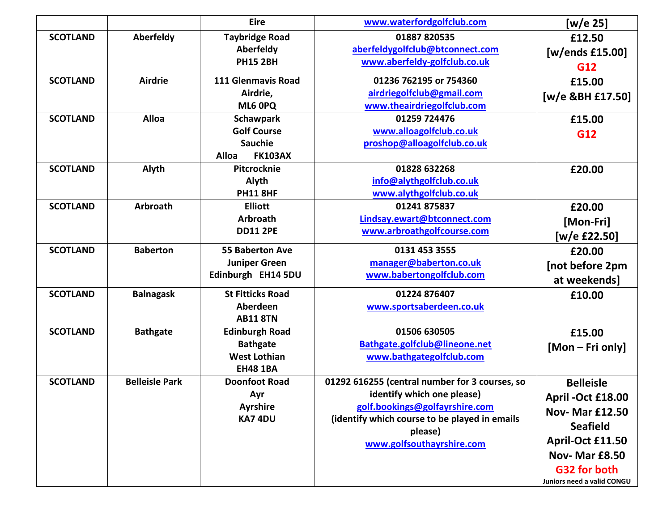|                 |                       | <b>Eire</b>                    | www.waterfordgolfclub.com                      | [w/e 25]                   |
|-----------------|-----------------------|--------------------------------|------------------------------------------------|----------------------------|
| <b>SCOTLAND</b> | Aberfeldy             | <b>Taybridge Road</b>          | 01887 820535                                   | £12.50                     |
|                 |                       | Aberfeldy                      | aberfeldygolfclub@btconnect.com                | [w/ends £15.00]            |
|                 |                       | <b>PH15 2BH</b>                | www.aberfeldy-golfclub.co.uk                   | G12                        |
| <b>SCOTLAND</b> | <b>Airdrie</b>        | 111 Glenmavis Road             | 01236 762195 or 754360                         | £15.00                     |
|                 |                       | Airdrie,                       | airdriegolfclub@gmail.com                      | [w/e &BH £17.50]           |
|                 |                       | ML6 0PQ                        | www.theairdriegolfclub.com                     |                            |
| <b>SCOTLAND</b> | <b>Alloa</b>          | <b>Schawpark</b>               | 01259 724476                                   | £15.00                     |
|                 |                       | <b>Golf Course</b>             | www.alloagolfclub.co.uk                        | G12                        |
|                 |                       | <b>Sauchie</b>                 | proshop@alloagolfclub.co.uk                    |                            |
|                 |                       | <b>Alloa</b><br><b>FK103AX</b> |                                                |                            |
| <b>SCOTLAND</b> | Alyth                 | Pitcrocknie                    | 01828 632268                                   | £20.00                     |
|                 |                       | Alyth                          | info@alythgolfclub.co.uk                       |                            |
|                 |                       | <b>PH11 8HF</b>                | www.alythgolfclub.co.uk                        |                            |
| <b>SCOTLAND</b> | <b>Arbroath</b>       | <b>Elliott</b>                 | 01241 875837                                   | £20.00                     |
|                 |                       | <b>Arbroath</b>                | Lindsay.ewart@btconnect.com                    | [Mon-Fri]                  |
|                 |                       | <b>DD11 2PE</b>                | www.arbroathgolfcourse.com                     | [w/e £22.50]               |
| <b>SCOTLAND</b> | <b>Baberton</b>       | <b>55 Baberton Ave</b>         | 0131 453 3555                                  | £20.00                     |
|                 |                       | <b>Juniper Green</b>           | manager@baberton.co.uk                         | [not before 2pm            |
|                 |                       | Edinburgh EH14 5DU             | www.babertongolfclub.com                       | at weekends]               |
| <b>SCOTLAND</b> | <b>Balnagask</b>      | <b>St Fitticks Road</b>        | 01224 876407                                   | £10.00                     |
|                 |                       | Aberdeen                       | www.sportsaberdeen.co.uk                       |                            |
|                 |                       | <b>AB11 8TN</b>                |                                                |                            |
| <b>SCOTLAND</b> | <b>Bathgate</b>       | <b>Edinburgh Road</b>          | 01506 630505                                   | £15.00                     |
|                 |                       | <b>Bathgate</b>                | Bathgate.golfclub@lineone.net                  | [Mon – Fri only]           |
|                 |                       | <b>West Lothian</b>            | www.bathgategolfclub.com                       |                            |
|                 |                       | <b>EH48 1BA</b>                |                                                |                            |
| <b>SCOTLAND</b> | <b>Belleisle Park</b> | <b>Doonfoot Road</b>           | 01292 616255 (central number for 3 courses, so | <b>Belleisle</b>           |
|                 |                       | Ayr                            | identify which one please)                     | April -Oct £18.00          |
|                 |                       | <b>Ayrshire</b>                | golf.bookings@golfayrshire.com                 | <b>Nov- Mar £12.50</b>     |
|                 |                       | KA7 4DU                        | (identify which course to be played in emails  | <b>Seafield</b>            |
|                 |                       |                                | please)                                        | April-Oct £11.50           |
|                 |                       |                                | www.golfsouthayrshire.com                      | Nov-Mar £8.50              |
|                 |                       |                                |                                                |                            |
|                 |                       |                                |                                                | G32 for both               |
|                 |                       |                                |                                                | Juniors need a valid CONGU |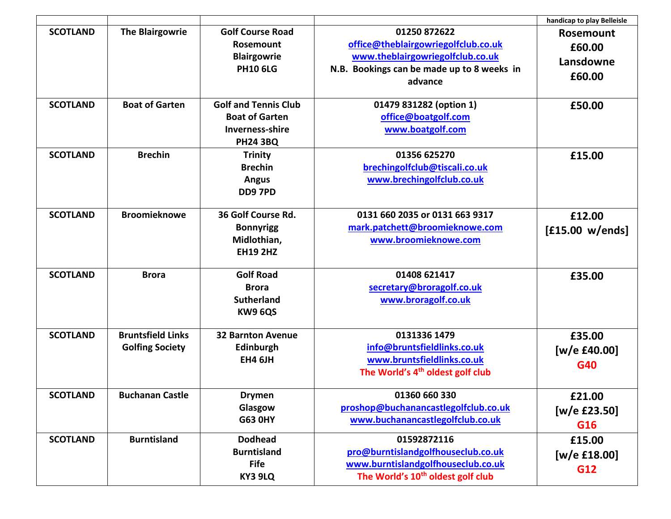|                 |                                                    |                                                                                                   |                                                                                                                                                  | handicap to play Belleisle                        |
|-----------------|----------------------------------------------------|---------------------------------------------------------------------------------------------------|--------------------------------------------------------------------------------------------------------------------------------------------------|---------------------------------------------------|
| <b>SCOTLAND</b> | <b>The Blairgowrie</b>                             | <b>Golf Course Road</b><br>Rosemount<br><b>Blairgowrie</b><br><b>PH10 6LG</b>                     | 01250 872622<br>office@theblairgowriegolfclub.co.uk<br>www.theblairgowriegolfclub.co.uk<br>N.B. Bookings can be made up to 8 weeks in<br>advance | <b>Rosemount</b><br>£60.00<br>Lansdowne<br>£60.00 |
| <b>SCOTLAND</b> | <b>Boat of Garten</b>                              | <b>Golf and Tennis Club</b><br><b>Boat of Garten</b><br><b>Inverness-shire</b><br><b>PH24 3BQ</b> | 01479 831282 (option 1)<br>office@boatgolf.com<br>www.boatgolf.com                                                                               | £50.00                                            |
| <b>SCOTLAND</b> | <b>Brechin</b>                                     | <b>Trinity</b><br><b>Brechin</b><br><b>Angus</b><br><b>DD9 7PD</b>                                | 01356 625270<br>brechingolfclub@tiscali.co.uk<br>www.brechingolfclub.co.uk                                                                       | £15.00                                            |
| <b>SCOTLAND</b> | <b>Broomieknowe</b>                                | 36 Golf Course Rd.<br><b>Bonnyrigg</b><br>Midlothian,<br><b>EH19 2HZ</b>                          | 0131 660 2035 or 0131 663 9317<br>mark.patchett@broomieknowe.com<br>www.broomieknowe.com                                                         | £12.00<br>[£15.00 w/ends]                         |
| <b>SCOTLAND</b> | <b>Brora</b>                                       | <b>Golf Road</b><br><b>Brora</b><br><b>Sutherland</b><br>KW9 6QS                                  | 01408 621417<br>secretary@broragolf.co.uk<br>www.broragolf.co.uk                                                                                 | £35.00                                            |
| <b>SCOTLAND</b> | <b>Bruntsfield Links</b><br><b>Golfing Society</b> | <b>32 Barnton Avenue</b><br>Edinburgh<br><b>EH4 6JH</b>                                           | 0131336 1479<br>info@bruntsfieldlinks.co.uk<br>www.bruntsfieldlinks.co.uk<br>The World's 4 <sup>th</sup> oldest golf club                        | £35.00<br>[w/e $£40.00]$<br>G40                   |
| <b>SCOTLAND</b> | <b>Buchanan Castle</b>                             | <b>Drymen</b><br>Glasgow<br><b>G63 0HY</b>                                                        | 01360 660 330<br>proshop@buchanancastlegolfclub.co.uk<br>www.buchanancastlegolfclub.co.uk                                                        | £21.00<br>[ $w/e$ £23.50]<br>G16                  |
| <b>SCOTLAND</b> | <b>Burntisland</b>                                 | <b>Dodhead</b><br><b>Burntisland</b><br><b>Fife</b><br>KY3 9LQ                                    | 01592872116<br>pro@burntislandgolfhouseclub.co.uk<br>www.burntislandgolfhouseclub.co.uk<br>The World's 10 <sup>th</sup> oldest golf club         | £15.00<br>[w/e £18.00]<br>G12                     |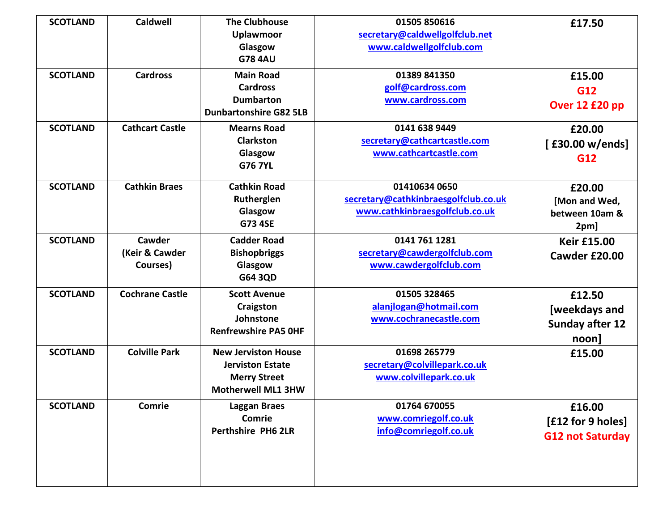| <b>SCOTLAND</b> | <b>Caldwell</b>        | <b>The Clubhouse</b>          | 01505 850616                         | £17.50                  |
|-----------------|------------------------|-------------------------------|--------------------------------------|-------------------------|
|                 |                        | <b>Uplawmoor</b>              | secretary@caldwellgolfclub.net       |                         |
|                 |                        | Glasgow                       | www.caldwellgolfclub.com             |                         |
|                 |                        | <b>G78 4AU</b>                |                                      |                         |
| <b>SCOTLAND</b> | <b>Cardross</b>        | <b>Main Road</b>              | 01389 841350                         | £15.00                  |
|                 |                        | <b>Cardross</b>               | golf@cardross.com                    | G12                     |
|                 |                        | <b>Dumbarton</b>              | www.cardross.com                     | Over 12 £20 pp          |
|                 |                        | <b>Dunbartonshire G82 5LB</b> |                                      |                         |
| <b>SCOTLAND</b> | <b>Cathcart Castle</b> | <b>Mearns Road</b>            | 0141 638 9449                        | £20.00                  |
|                 |                        | <b>Clarkston</b>              | secretary@cathcartcastle.com         | [£30.00 w/ends]         |
|                 |                        | Glasgow                       | www.cathcartcastle.com               | G12                     |
|                 |                        | <b>G76 7YL</b>                |                                      |                         |
| <b>SCOTLAND</b> | <b>Cathkin Braes</b>   | <b>Cathkin Road</b>           | 01410634 0650                        | £20.00                  |
|                 |                        | Rutherglen                    | secretary@cathkinbraesgolfclub.co.uk | [Mon and Wed,           |
|                 |                        | Glasgow                       | www.cathkinbraesgolfclub.co.uk       | between 10am &          |
|                 |                        | <b>G73 4SE</b>                |                                      | 2pm]                    |
| <b>SCOTLAND</b> | Cawder                 | <b>Cadder Road</b>            | 0141 761 1281                        | <b>Keir £15.00</b>      |
|                 | (Keir & Cawder         | <b>Bishopbriggs</b>           | secretary@cawdergolfclub.com         | Cawder £20.00           |
|                 | Courses)               | Glasgow                       | www.cawdergolfclub.com               |                         |
|                 |                        | G64 3QD                       |                                      |                         |
| <b>SCOTLAND</b> | <b>Cochrane Castle</b> | <b>Scott Avenue</b>           | 01505 328465                         | £12.50                  |
|                 |                        | Craigston                     | alanjlogan@hotmail.com               | [weekdays and           |
|                 |                        | Johnstone                     | www.cochranecastle.com               | <b>Sunday after 12</b>  |
|                 |                        | <b>Renfrewshire PA5 OHF</b>   |                                      | $noon$ ]                |
| <b>SCOTLAND</b> | <b>Colville Park</b>   | <b>New Jerviston House</b>    | 01698 265779                         | £15.00                  |
|                 |                        | <b>Jerviston Estate</b>       | secretary@colvillepark.co.uk         |                         |
|                 |                        | <b>Merry Street</b>           | www.colvillepark.co.uk               |                         |
|                 |                        | <b>Motherwell ML1 3HW</b>     |                                      |                         |
| <b>SCOTLAND</b> | Comrie                 | <b>Laggan Braes</b>           | 01764 670055                         | £16.00                  |
|                 |                        | Comrie                        | www.comriegolf.co.uk                 | [£12 for 9 holes]       |
|                 |                        | <b>Perthshire PH6 2LR</b>     | info@comriegolf.co.uk                | <b>G12 not Saturday</b> |
|                 |                        |                               |                                      |                         |
|                 |                        |                               |                                      |                         |
|                 |                        |                               |                                      |                         |
|                 |                        |                               |                                      |                         |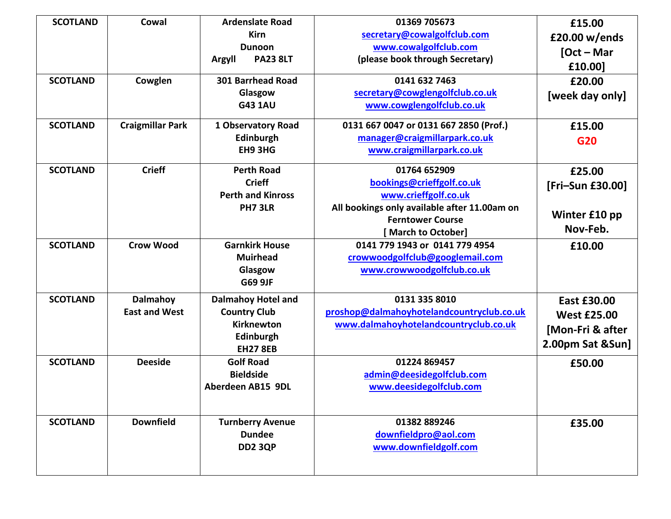| <b>SCOTLAND</b> | Cowal                            | <b>Ardenslate Road</b><br>Kirn<br><b>Dunoon</b>                                                | 01369 705673<br>secretary@cowalgolfclub.com<br>www.cowalgolfclub.com                                                                                               | £15.00<br>£20.00 w/ends<br>$[Oct - Mar]$                                         |
|-----------------|----------------------------------|------------------------------------------------------------------------------------------------|--------------------------------------------------------------------------------------------------------------------------------------------------------------------|----------------------------------------------------------------------------------|
|                 |                                  | <b>PA23 8LT</b><br>Argyll                                                                      | (please book through Secretary)                                                                                                                                    | £10.00]                                                                          |
| <b>SCOTLAND</b> | Cowglen                          | <b>301 Barrhead Road</b><br>Glasgow<br><b>G43 1AU</b>                                          | 0141 632 7463<br>secretary@cowglengolfclub.co.uk<br>www.cowglengolfclub.co.uk                                                                                      | £20.00<br>[week day only]                                                        |
| <b>SCOTLAND</b> | <b>Craigmillar Park</b>          | 1 Observatory Road<br>Edinburgh<br>EH9 3HG                                                     | 0131 667 0047 or 0131 667 2850 (Prof.)<br>manager@craigmillarpark.co.uk<br>www.craigmillarpark.co.uk                                                               | £15.00<br>G20                                                                    |
| <b>SCOTLAND</b> | <b>Crieff</b>                    | <b>Perth Road</b><br><b>Crieff</b><br><b>Perth and Kinross</b><br>PH7 3LR                      | 01764 652909<br>bookings@crieffgolf.co.uk<br>www.crieffgolf.co.uk<br>All bookings only available after 11.00am on<br><b>Ferntower Course</b><br>[March to October] | £25.00<br>[Fri-Sun £30.00]<br>Winter £10 pp<br>Nov-Feb.                          |
| <b>SCOTLAND</b> | <b>Crow Wood</b>                 | <b>Garnkirk House</b><br><b>Muirhead</b><br>Glasgow<br><b>G69 9JF</b>                          | 0141 779 1943 or 0141 779 4954<br>crowwoodgolfclub@googlemail.com<br>www.crowwoodgolfclub.co.uk                                                                    | £10.00                                                                           |
| <b>SCOTLAND</b> | Dalmahoy<br><b>East and West</b> | <b>Dalmahoy Hotel and</b><br><b>Country Club</b><br>Kirknewton<br>Edinburgh<br><b>EH27 8EB</b> | 0131 335 8010<br>proshop@dalmahoyhotelandcountryclub.co.uk<br>www.dalmahoyhotelandcountryclub.co.uk                                                                | <b>East £30.00</b><br><b>West £25.00</b><br>[Mon-Fri & after<br>2.00pm Sat &Sun] |
| <b>SCOTLAND</b> | <b>Deeside</b>                   | <b>Golf Road</b><br><b>Bieldside</b><br>Aberdeen AB15 9DL                                      | 01224 869457<br>admin@deesidegolfclub.com<br>www.deesidegolfclub.com                                                                                               | £50.00                                                                           |
| <b>SCOTLAND</b> | <b>Downfield</b>                 | <b>Turnberry Avenue</b><br><b>Dundee</b><br><b>DD2 3QP</b>                                     | 01382 889246<br>downfieldpro@aol.com<br>www.downfieldgolf.com                                                                                                      | £35.00                                                                           |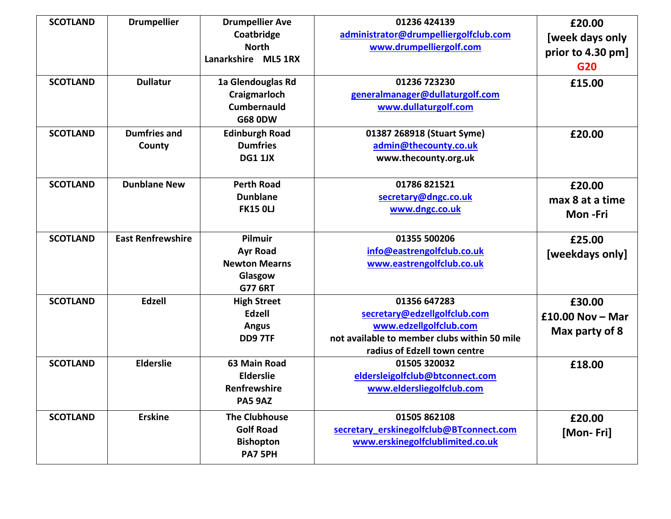| <b>SCOTLAND</b><br><b>SCOTLAND</b> | <b>Drumpellier</b><br><b>Dullatur</b> | <b>Drumpellier Ave</b><br>Coatbridge<br><b>North</b><br>Lanarkshire ML5 1RX<br>1a Glendouglas Rd<br>Craigmarloch | 01236 424139<br>administrator@drumpelliergolfclub.com<br>www.drumpelliergolf.com<br>01236 723230<br>generalmanager@dullaturgolf.com                    | £20.00<br>[week days only<br>prior to 4.30 pm]<br>G20<br>£15.00 |
|------------------------------------|---------------------------------------|------------------------------------------------------------------------------------------------------------------|--------------------------------------------------------------------------------------------------------------------------------------------------------|-----------------------------------------------------------------|
|                                    |                                       | <b>Cumbernauld</b><br><b>G68 0DW</b>                                                                             | www.dullaturgolf.com                                                                                                                                   |                                                                 |
| <b>SCOTLAND</b>                    | <b>Dumfries and</b><br>County         | <b>Edinburgh Road</b><br><b>Dumfries</b><br><b>DG1 1JX</b>                                                       | 01387 268918 (Stuart Syme)<br>admin@thecounty.co.uk<br>www.thecounty.org.uk                                                                            | £20.00                                                          |
| <b>SCOTLAND</b>                    | <b>Dunblane New</b>                   | <b>Perth Road</b><br><b>Dunblane</b><br><b>FK15 OLJ</b>                                                          | 01786 821521<br>secretary@dngc.co.uk<br>www.dngc.co.uk                                                                                                 | £20.00<br>max 8 at a time<br>Mon-Fri                            |
| <b>SCOTLAND</b>                    | <b>East Renfrewshire</b>              | <b>Pilmuir</b><br><b>Ayr Road</b><br><b>Newton Mearns</b><br>Glasgow<br><b>G77 6RT</b>                           | 01355 500206<br>info@eastrengolfclub.co.uk<br>www.eastrengolfclub.co.uk                                                                                | £25.00<br>[weekdays only]                                       |
| <b>SCOTLAND</b>                    | <b>Edzell</b>                         | <b>High Street</b><br><b>Edzell</b><br><b>Angus</b><br><b>DD9 7TF</b>                                            | 01356 647283<br>secretary@edzellgolfclub.com<br>www.edzellgolfclub.com<br>not available to member clubs within 50 mile<br>radius of Edzell town centre | £30.00<br>$£10.00$ Nov - Mar<br>Max party of 8                  |
| <b>SCOTLAND</b>                    | <b>Elderslie</b>                      | 63 Main Road<br><b>Elderslie</b><br><b>Renfrewshire</b><br>PA5 9AZ                                               | 01505 320032<br>eldersleigolfclub@btconnect.com<br>www.eldersliegolfclub.com                                                                           | £18.00                                                          |
| <b>SCOTLAND</b>                    | <b>Erskine</b>                        | <b>The Clubhouse</b><br><b>Golf Road</b><br><b>Bishopton</b><br>PA7 5PH                                          | 01505 862108<br>secretary erskinegolfclub@BTconnect.com<br>www.erskinegolfclublimited.co.uk                                                            | £20.00<br>[Mon-Fri]                                             |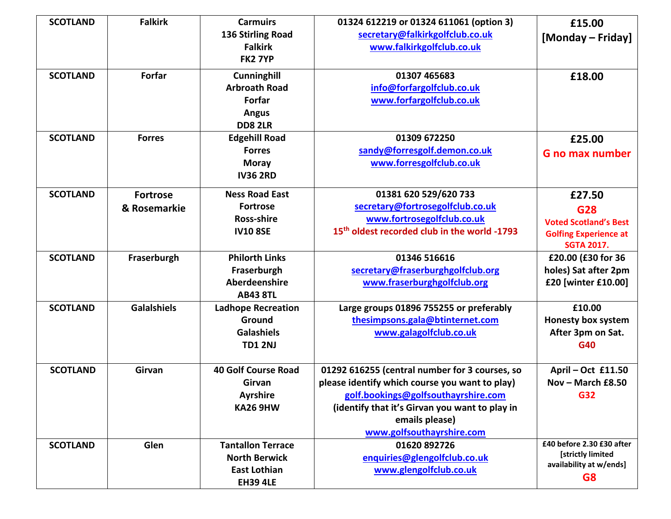| <b>SCOTLAND</b> | <b>Falkirk</b>     | <b>Carmuirs</b>                    | 01324 612219 or 01324 611061 (option 3)                                               | £15.00                       |
|-----------------|--------------------|------------------------------------|---------------------------------------------------------------------------------------|------------------------------|
|                 |                    | 136 Stirling Road                  | secretary@falkirkgolfclub.co.uk                                                       | [Monday – Friday]            |
|                 |                    | <b>Falkirk</b>                     | www.falkirkgolfclub.co.uk                                                             |                              |
|                 |                    | <b>FK2 7YP</b>                     |                                                                                       |                              |
| <b>SCOTLAND</b> | <b>Forfar</b>      | Cunninghill                        | 01307 465683                                                                          | £18.00                       |
|                 |                    | <b>Arbroath Road</b>               | info@forfargolfclub.co.uk                                                             |                              |
|                 |                    | Forfar                             | www.forfargolfclub.co.uk                                                              |                              |
|                 |                    | <b>Angus</b>                       |                                                                                       |                              |
|                 |                    | <b>DD8 2LR</b>                     |                                                                                       |                              |
| <b>SCOTLAND</b> | <b>Forres</b>      | <b>Edgehill Road</b>               | 01309 672250                                                                          | £25.00                       |
|                 |                    | <b>Forres</b>                      | sandy@forresgolf.demon.co.uk                                                          | <b>G</b> no max number       |
|                 |                    | <b>Moray</b>                       | www.forresgolfclub.co.uk                                                              |                              |
|                 |                    | <b>IV36 2RD</b>                    |                                                                                       |                              |
| <b>SCOTLAND</b> | <b>Fortrose</b>    | <b>Ness Road East</b>              | 01381 620 529/620 733                                                                 | £27.50                       |
|                 | & Rosemarkie       | <b>Fortrose</b>                    | secretary@fortrosegolfclub.co.uk                                                      | G28                          |
|                 |                    | <b>Ross-shire</b>                  | www.fortrosegolfclub.co.uk                                                            | <b>Voted Scotland's Best</b> |
|                 |                    | <b>IV10 8SE</b>                    | 15th oldest recorded club in the world -1793                                          | <b>Golfing Experience at</b> |
|                 |                    |                                    |                                                                                       | <b>SGTA 2017.</b>            |
| <b>SCOTLAND</b> | Fraserburgh        | <b>Philorth Links</b>              | 01346 516616                                                                          | £20.00 (£30 for 36           |
|                 |                    | Fraserburgh                        | secretary@fraserburghgolfclub.org                                                     | holes) Sat after 2pm         |
|                 |                    | Aberdeenshire                      | www.fraserburghgolfclub.org                                                           | £20 [winter £10.00]          |
|                 |                    | <b>AB43 8TL</b>                    |                                                                                       |                              |
| <b>SCOTLAND</b> | <b>Galalshiels</b> | <b>Ladhope Recreation</b>          | Large groups 01896 755255 or preferably                                               | £10.00                       |
|                 |                    | Ground                             | thesimpsons.gala@btinternet.com                                                       | <b>Honesty box system</b>    |
|                 |                    | <b>Galashiels</b>                  | www.galagolfclub.co.uk                                                                | After 3pm on Sat.            |
|                 |                    | <b>TD1 2NJ</b>                     |                                                                                       | G40                          |
|                 |                    |                                    |                                                                                       |                              |
| <b>SCOTLAND</b> | Girvan             | <b>40 Golf Course Road</b>         | 01292 616255 (central number for 3 courses, so                                        | April - Oct £11.50           |
|                 |                    | Girvan                             | please identify which course you want to play)                                        | Nov - March £8.50            |
|                 |                    | <b>Ayrshire</b><br><b>KA26 9HW</b> | golf.bookings@golfsouthayrshire.com<br>(identify that it's Girvan you want to play in | <b>G32</b>                   |
|                 |                    |                                    | emails please)                                                                        |                              |
|                 |                    |                                    | www.golfsouthayrshire.com                                                             |                              |
| <b>SCOTLAND</b> | Glen               | <b>Tantallon Terrace</b>           | 01620 892726                                                                          | £40 before 2.30 £30 after    |
|                 |                    | <b>North Berwick</b>               | enquiries@glengolfclub.co.uk                                                          | [strictly limited            |
|                 |                    | <b>East Lothian</b>                | www.glengolfclub.co.uk                                                                | availability at w/ends]      |
|                 |                    | <b>EH39 4LE</b>                    |                                                                                       | G <sub>8</sub>               |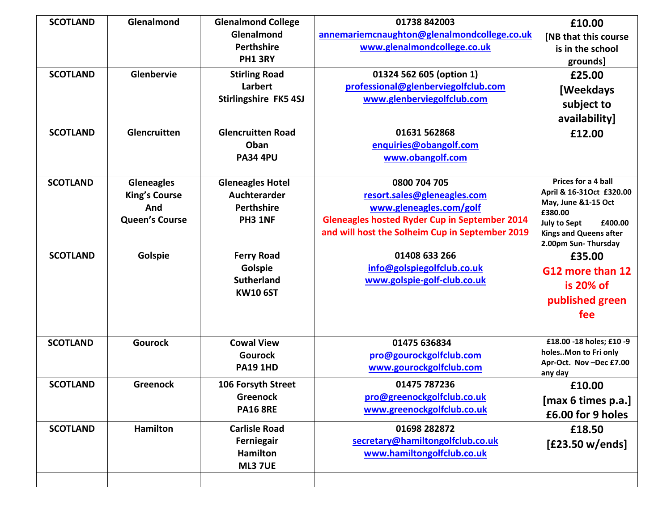| <b>SCOTLAND</b> | Glenalmond            | <b>Glenalmond College</b> | 01738 842003                                         | £10.00                                               |
|-----------------|-----------------------|---------------------------|------------------------------------------------------|------------------------------------------------------|
|                 |                       | Glenalmond                | annemariemcnaughton@glenalmondcollege.co.uk          | <b>[NB that this course</b>                          |
|                 |                       | <b>Perthshire</b>         | www.glenalmondcollege.co.uk                          | is in the school                                     |
|                 |                       | <b>PH1 3RY</b>            |                                                      | grounds]                                             |
| <b>SCOTLAND</b> | Glenbervie            | <b>Stirling Road</b>      | 01324 562 605 (option 1)                             | £25.00                                               |
|                 |                       | Larbert                   | professional@glenberviegolfclub.com                  | [Weekdays]                                           |
|                 |                       | Stirlingshire FK5 4SJ     | www.glenberviegolfclub.com                           | subject to                                           |
|                 |                       |                           |                                                      | availability]                                        |
| <b>SCOTLAND</b> | Glencruitten          | <b>Glencruitten Road</b>  | 01631 562868                                         | £12.00                                               |
|                 |                       | Oban                      | enquiries@obangolf.com                               |                                                      |
|                 |                       | <b>PA34 4PU</b>           | www.obangolf.com                                     |                                                      |
|                 |                       |                           |                                                      |                                                      |
| <b>SCOTLAND</b> | <b>Gleneagles</b>     | <b>Gleneagles Hotel</b>   | 0800 704 705                                         | Prices for a 4 ball<br>April & 16-31Oct £320.00      |
|                 | <b>King's Course</b>  | Auchterarder              | resort.sales@gleneagles.com                          | May, June &1-15 Oct                                  |
|                 | And                   | <b>Perthshire</b>         | www.gleneagles.com/golf                              | £380.00                                              |
|                 | <b>Queen's Course</b> | PH3 1NF                   | <b>Gleneagles hosted Ryder Cup in September 2014</b> | <b>July to Sept</b><br>£400.00                       |
|                 |                       |                           | and will host the Solheim Cup in September 2019      | <b>Kings and Queens after</b><br>2.00pm Sun-Thursday |
| <b>SCOTLAND</b> | Golspie               | <b>Ferry Road</b>         | 01408 633 266                                        | £35.00                                               |
|                 |                       | Golspie                   | info@golspiegolfclub.co.uk                           | G12 more than 12                                     |
|                 |                       | <b>Sutherland</b>         | www.golspie-golf-club.co.uk                          |                                                      |
|                 |                       | <b>KW10 6ST</b>           |                                                      | is 20% of                                            |
|                 |                       |                           |                                                      | published green                                      |
|                 |                       |                           |                                                      | fee                                                  |
|                 |                       |                           |                                                      |                                                      |
| <b>SCOTLAND</b> | <b>Gourock</b>        | <b>Cowal View</b>         | 01475 636834                                         | £18.00 -18 holes; £10 -9                             |
|                 |                       | <b>Gourock</b>            | pro@gourockgolfclub.com                              | holesMon to Fri only<br>Apr-Oct. Nov-Dec £7.00       |
|                 |                       | <b>PA19 1HD</b>           | www.gourockgolfclub.com                              | any day                                              |
| <b>SCOTLAND</b> | Greenock              | 106 Forsyth Street        | 01475 787236                                         | £10.00                                               |
|                 |                       | Greenock                  | pro@greenockgolfclub.co.uk                           | [max 6 times p.a.]                                   |
|                 |                       | <b>PA16 8RE</b>           | www.greenockgolfclub.co.uk                           | £6.00 for 9 holes                                    |
| <b>SCOTLAND</b> | <b>Hamilton</b>       | <b>Carlisle Road</b>      | 01698 282872                                         | £18.50                                               |
|                 |                       | Ferniegair                | secretary@hamiltongolfclub.co.uk                     | [£23.50 w/ends]                                      |
|                 |                       | <b>Hamilton</b>           | www.hamiltongolfclub.co.uk                           |                                                      |
|                 |                       |                           |                                                      |                                                      |
|                 |                       | <b>ML3 7UE</b>            |                                                      |                                                      |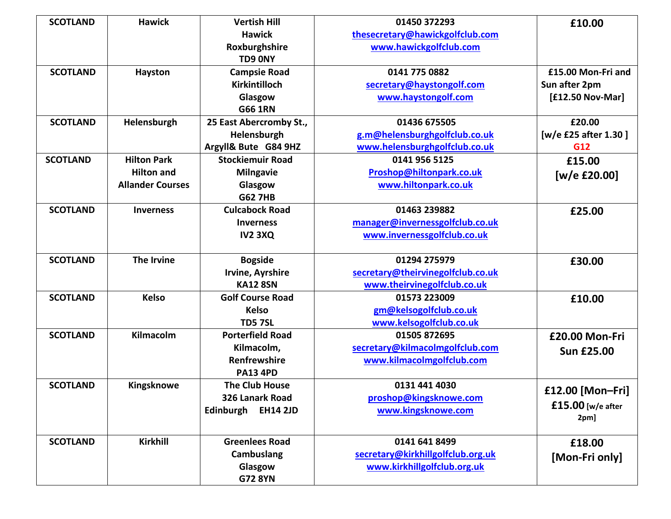| <b>SCOTLAND</b> | <b>Hawick</b>           | <b>Vertish Hill</b>     | 01450 372293                      | £10.00               |
|-----------------|-------------------------|-------------------------|-----------------------------------|----------------------|
|                 |                         | <b>Hawick</b>           | thesecretary@hawickgolfclub.com   |                      |
|                 |                         | Roxburghshire           | www.hawickgolfclub.com            |                      |
|                 |                         | TD9 0NY                 |                                   |                      |
| <b>SCOTLAND</b> | Hayston                 | <b>Campsie Road</b>     | 0141 775 0882                     | £15.00 Mon-Fri and   |
|                 |                         | Kirkintilloch           | secretary@haystongolf.com         | Sun after 2pm        |
|                 |                         | Glasgow                 | www.haystongolf.com               | [£12.50 Nov-Mar]     |
|                 |                         | <b>G66 1RN</b>          |                                   |                      |
| <b>SCOTLAND</b> | Helensburgh             | 25 East Abercromby St., | 01436 675505                      | £20.00               |
|                 |                         | Helensburgh             | g.m@helensburghgolfclub.co.uk     | [w/e £25 after 1.30] |
|                 |                         | Argyll& Bute G84 9HZ    | www.helensburghgolfclub.co.uk     | G12                  |
| <b>SCOTLAND</b> | <b>Hilton Park</b>      | <b>Stockiemuir Road</b> | 0141 956 5125                     | £15.00               |
|                 | <b>Hilton and</b>       | <b>Milngavie</b>        | Proshop@hiltonpark.co.uk          | [w/e £20.00]         |
|                 | <b>Allander Courses</b> | Glasgow                 | www.hiltonpark.co.uk              |                      |
|                 |                         | <b>G62 7HB</b>          |                                   |                      |
| <b>SCOTLAND</b> | <b>Inverness</b>        | <b>Culcabock Road</b>   | 01463 239882                      | £25.00               |
|                 |                         | <b>Inverness</b>        | manager@invernessgolfclub.co.uk   |                      |
|                 |                         | <b>IV2 3XQ</b>          | www.invernessgolfclub.co.uk       |                      |
|                 |                         |                         |                                   |                      |
| <b>SCOTLAND</b> | <b>The Irvine</b>       | <b>Bogside</b>          | 01294 275979                      | £30.00               |
|                 |                         | Irvine, Ayrshire        | secretary@theirvinegolfclub.co.uk |                      |
|                 |                         | <b>KA12 8SN</b>         | www.theirvinegolfclub.co.uk       |                      |
| <b>SCOTLAND</b> | <b>Kelso</b>            | <b>Golf Course Road</b> | 01573 223009                      | £10.00               |
|                 |                         | <b>Kelso</b>            | gm@kelsogolfclub.co.uk            |                      |
|                 |                         | <b>TD57SL</b>           | www.kelsogolfclub.co.uk           |                      |
| <b>SCOTLAND</b> | Kilmacolm               | <b>Porterfield Road</b> | 01505 872695                      | £20.00 Mon-Fri       |
|                 |                         | Kilmacolm,              | secretary@kilmacolmgolfclub.com   | <b>Sun £25.00</b>    |
|                 |                         | Renfrewshire            | www.kilmacolmgolfclub.com         |                      |
|                 |                         | <b>PA13 4PD</b>         |                                   |                      |
| <b>SCOTLAND</b> | Kingsknowe              | <b>The Club House</b>   | 0131 441 4030                     | £12.00 [Mon-Fri]     |
|                 |                         | 326 Lanark Road         | proshop@kingsknowe.com            | £15.00 [w/e after    |
|                 |                         | Edinburgh EH14 2JD      | www.kingsknowe.com                | 2pm]                 |
|                 |                         |                         |                                   |                      |
| <b>SCOTLAND</b> | Kirkhill                | <b>Greenlees Road</b>   | 0141 641 8499                     | £18.00               |
|                 |                         | Cambuslang              | secretary@kirkhillgolfclub.org.uk | [Mon-Fri only]       |
|                 |                         | Glasgow                 | www.kirkhillgolfclub.org.uk       |                      |
|                 |                         | <b>G72 8YN</b>          |                                   |                      |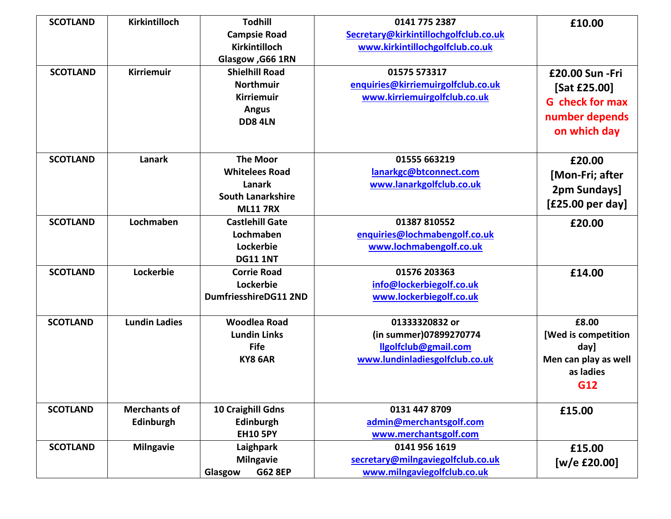| <b>SCOTLAND</b> | Kirkintilloch        | <b>Todhill</b>            | 0141 775 2387                         | £10.00                 |
|-----------------|----------------------|---------------------------|---------------------------------------|------------------------|
|                 |                      | <b>Campsie Road</b>       | Secretary@kirkintillochgolfclub.co.uk |                        |
|                 |                      | Kirkintilloch             | www.kirkintillochgolfclub.co.uk       |                        |
|                 |                      | Glasgow, G66 1RN          |                                       |                        |
| <b>SCOTLAND</b> | <b>Kirriemuir</b>    | <b>Shielhill Road</b>     | 01575 573317                          | £20.00 Sun - Fri       |
|                 |                      | <b>Northmuir</b>          | enquiries@kirriemuirgolfclub.co.uk    | [Sat £25.00]           |
|                 |                      | <b>Kirriemuir</b>         | www.kirriemuirgolfclub.co.uk          | <b>G</b> check for max |
|                 |                      | <b>Angus</b>              |                                       | number depends         |
|                 |                      | <b>DD8 4LN</b>            |                                       |                        |
|                 |                      |                           |                                       | on which day           |
|                 |                      |                           |                                       |                        |
| <b>SCOTLAND</b> | Lanark               | <b>The Moor</b>           | 01555 663219                          | £20.00                 |
|                 |                      | <b>Whitelees Road</b>     | lanarkgc@btconnect.com                | [Mon-Fri; after        |
|                 |                      | Lanark                    | www.lanarkgolfclub.co.uk              | 2pm Sundays]           |
|                 |                      | <b>South Lanarkshire</b>  |                                       | [£25.00 per day]       |
|                 |                      | <b>ML11 7RX</b>           |                                       |                        |
| <b>SCOTLAND</b> | Lochmaben            | <b>Castlehill Gate</b>    | 01387 810552                          | £20.00                 |
|                 |                      | Lochmaben                 | enquiries@lochmabengolf.co.uk         |                        |
|                 |                      | Lockerbie                 | www.lochmabengolf.co.uk               |                        |
|                 |                      | <b>DG11 1NT</b>           |                                       |                        |
| <b>SCOTLAND</b> | Lockerbie            | <b>Corrie Road</b>        | 01576 203363                          | £14.00                 |
|                 |                      | Lockerbie                 | info@lockerbiegolf.co.uk              |                        |
|                 |                      | DumfriesshireDG11 2ND     | www.lockerbiegolf.co.uk               |                        |
| <b>SCOTLAND</b> | <b>Lundin Ladies</b> | <b>Woodlea Road</b>       | 01333320832 or                        | £8.00                  |
|                 |                      | <b>Lundin Links</b>       | (in summer)07899270774                | [Wed is competition    |
|                 |                      | <b>Fife</b>               | llgolfclub@gmail.com                  | day]                   |
|                 |                      | KY8 6AR                   | www.lundinladiesgolfclub.co.uk        | Men can play as well   |
|                 |                      |                           |                                       | as ladies              |
|                 |                      |                           |                                       | G12                    |
|                 |                      |                           |                                       |                        |
| <b>SCOTLAND</b> | <b>Merchants of</b>  | 10 Craighill Gdns         | 0131 447 8709                         | £15.00                 |
|                 | Edinburgh            | Edinburgh                 | admin@merchantsgolf.com               |                        |
|                 |                      | <b>EH10 5PY</b>           | www.merchantsgolf.com                 |                        |
| <b>SCOTLAND</b> | <b>Milngavie</b>     | Laighpark                 | 0141 956 1619                         | £15.00                 |
|                 |                      | <b>Milngavie</b>          | secretary@milngaviegolfclub.co.uk     | [w/e £20.00]           |
|                 |                      | <b>G62 8EP</b><br>Glasgow | www.milngaviegolfclub.co.uk           |                        |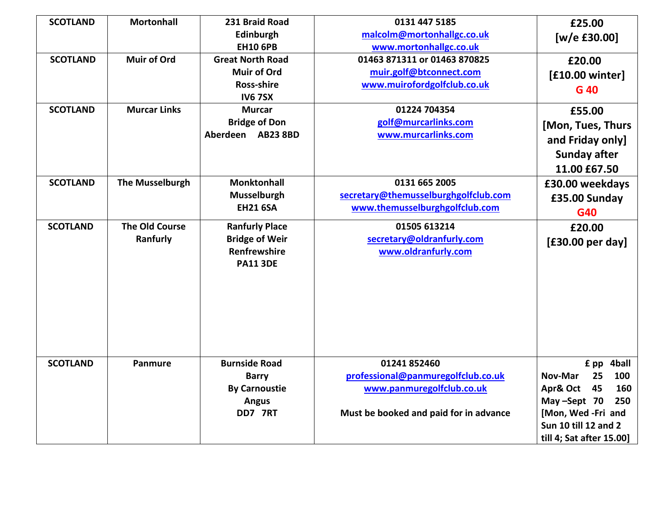| <b>SCOTLAND</b><br><b>SCOTLAND</b> | <b>Mortonhall</b><br><b>Muir of Ord</b> | 231 Braid Road<br>Edinburgh<br><b>EH10 6PB</b><br><b>Great North Road</b>                | 0131 447 5185<br>malcolm@mortonhallgc.co.uk<br>www.mortonhallgc.co.uk<br>01463 871311 or 01463 870825                     | £25.00<br>[ $w/e$ £30.00]<br>£20.00                                                                                                                      |
|------------------------------------|-----------------------------------------|------------------------------------------------------------------------------------------|---------------------------------------------------------------------------------------------------------------------------|----------------------------------------------------------------------------------------------------------------------------------------------------------|
|                                    |                                         | <b>Muir of Ord</b><br><b>Ross-shire</b><br><b>IV67SX</b>                                 | muir.golf@btconnect.com<br>www.muirofordgolfclub.co.uk                                                                    | [£10.00 winter]<br>G 40                                                                                                                                  |
| <b>SCOTLAND</b>                    | <b>Murcar Links</b>                     | <b>Murcar</b><br><b>Bridge of Don</b><br>Aberdeen AB23 8BD                               | 01224 704354<br>golf@murcarlinks.com<br>www.murcarlinks.com                                                               | £55.00<br>[Mon, Tues, Thurs<br>and Friday only]<br><b>Sunday after</b><br>11.00 £67.50                                                                   |
| <b>SCOTLAND</b>                    | <b>The Musselburgh</b>                  | <b>Monktonhall</b><br>Musselburgh<br><b>EH21 6SA</b>                                     | 0131 665 2005<br>secretary@themusselburghgolfclub.com<br>www.themusselburghgolfclub.com                                   | £30.00 weekdays<br>£35.00 Sunday<br>G40                                                                                                                  |
| <b>SCOTLAND</b>                    | <b>The Old Course</b><br>Ranfurly       | <b>Ranfurly Place</b><br><b>Bridge of Weir</b><br><b>Renfrewshire</b><br><b>PA11 3DE</b> | 01505 613214<br>secretary@oldranfurly.com<br>www.oldranfurly.com                                                          | £20.00<br>[£30.00 per day]                                                                                                                               |
| <b>SCOTLAND</b>                    | <b>Panmure</b>                          | <b>Burnside Road</b><br><b>Barry</b><br><b>By Carnoustie</b><br><b>Angus</b><br>DD7 7RT  | 01241 852460<br>professional@panmuregolfclub.co.uk<br>www.panmuregolfclub.co.uk<br>Must be booked and paid for in advance | £ pp 4ball<br>100<br>25<br>Nov-Mar<br>Apr& Oct 45<br>160<br>May-Sept 70<br>250<br>[Mon, Wed -Fri and<br>Sun 10 till 12 and 2<br>till 4; Sat after 15.00] |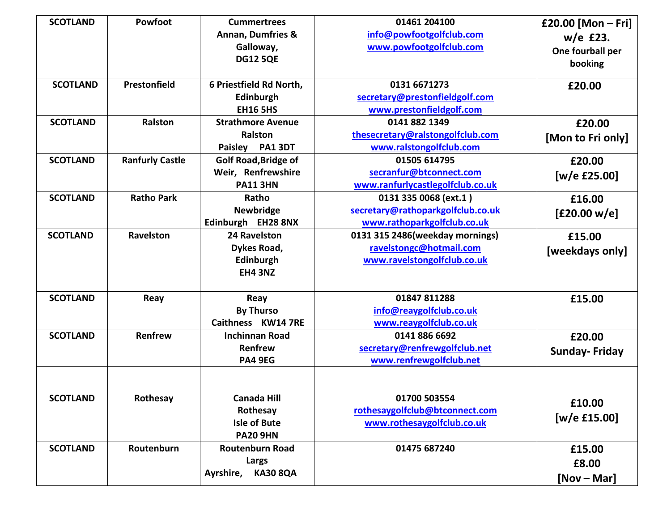| <b>SCOTLAND</b> | Powfoot<br>Prestonfield | <b>Cummertrees</b><br><b>Annan, Dumfries &amp;</b><br>Galloway,<br><b>DG12 5QE</b> | 01461 204100<br>info@powfootgolfclub.com<br>www.powfootgolfclub.com                       | £20.00 [Mon - Fri]<br>w/e £23.<br>One fourball per<br>booking |
|-----------------|-------------------------|------------------------------------------------------------------------------------|-------------------------------------------------------------------------------------------|---------------------------------------------------------------|
| <b>SCOTLAND</b> |                         | 6 Priestfield Rd North,<br>Edinburgh<br><b>EH16 5HS</b>                            | 0131 6671273<br>secretary@prestonfieldgolf.com<br>www.prestonfieldgolf.com                | £20.00                                                        |
| <b>SCOTLAND</b> | Ralston                 | <b>Strathmore Avenue</b><br><b>Ralston</b><br>Paisley PA1 3DT                      | 0141 882 1349<br>thesecretary@ralstongolfclub.com<br>www.ralstongolfclub.com              | £20.00<br>[Mon to Fri only]                                   |
| <b>SCOTLAND</b> | <b>Ranfurly Castle</b>  | <b>Golf Road, Bridge of</b><br>Weir, Renfrewshire<br><b>PA11 3HN</b>               | 01505 614795<br>secranfur@btconnect.com<br>www.ranfurlycastlegolfclub.co.uk               | £20.00<br>[w/e $£25.00$ ]                                     |
| <b>SCOTLAND</b> | <b>Ratho Park</b>       | Ratho<br><b>Newbridge</b><br>Edinburgh EH28 8NX                                    | 0131 335 0068 (ext.1)<br>secretary@rathoparkgolfclub.co.uk<br>www.rathoparkgolfclub.co.uk | £16.00<br>[£20.00 w/e]                                        |
| <b>SCOTLAND</b> | Ravelston               | 24 Ravelston<br>Dykes Road,<br>Edinburgh<br><b>EH4 3NZ</b>                         | 0131 315 2486(weekday mornings)<br>ravelstongc@hotmail.com<br>www.ravelstongolfclub.co.uk | £15.00<br>[weekdays only]                                     |
| <b>SCOTLAND</b> | Reay                    | Reay<br><b>By Thurso</b><br>Caithness KW14 7RE                                     | 01847 811288<br>info@reaygolfclub.co.uk<br>www.reaygolfclub.co.uk                         | £15.00                                                        |
| <b>SCOTLAND</b> | Renfrew                 | <b>Inchinnan Road</b><br>Renfrew<br><b>PA4 9EG</b>                                 | 0141 886 6692<br>secretary@renfrewgolfclub.net<br>www.renfrewgolfclub.net                 | £20.00<br><b>Sunday-Friday</b>                                |
| <b>SCOTLAND</b> | Rothesay                | <b>Canada Hill</b><br>Rothesay<br><b>Isle of Bute</b><br><b>PA20 9HN</b>           | 01700 503554<br>rothesaygolfclub@btconnect.com<br>www.rothesaygolfclub.co.uk              | £10.00<br>$[w/e$ £15.00]                                      |
| <b>SCOTLAND</b> | Routenburn              | <b>Routenburn Road</b><br>Largs<br><b>KA30 8QA</b><br>Ayrshire,                    | 01475 687240                                                                              | £15.00<br>£8.00<br>$[Nov - Mar]$                              |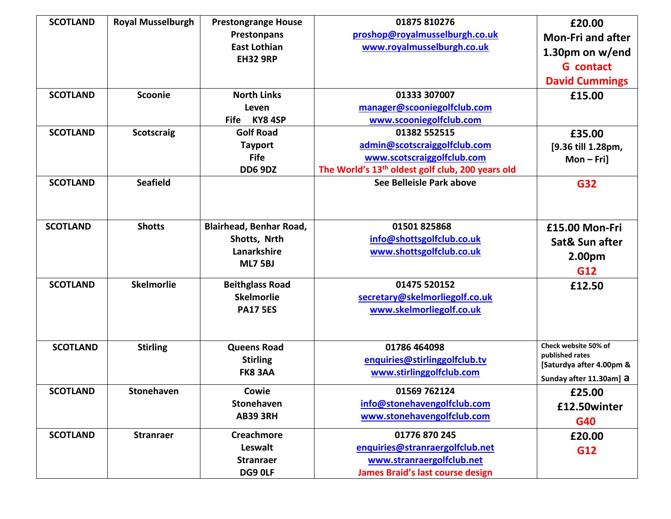| <b>SCOTLAND</b> | <b>Royal Musselburgh</b> | <b>Prestongrange House</b>     | 01875 810276                                                 | £20.00                   |
|-----------------|--------------------------|--------------------------------|--------------------------------------------------------------|--------------------------|
|                 |                          | Prestonpans                    | proshop@royalmusselburgh.co.uk                               | <b>Mon-Fri and after</b> |
|                 |                          | <b>East Lothian</b>            | www.royalmusselburgh.co.uk                                   | 1.30pm on w/end          |
|                 |                          | <b>EH32 9RP</b>                |                                                              | <b>G</b> contact         |
|                 |                          |                                |                                                              | <b>David Cummings</b>    |
| <b>SCOTLAND</b> | Scoonie                  | <b>North Links</b>             | 01333 307007                                                 | £15.00                   |
|                 |                          | Leven                          | manager@scooniegolfclub.com                                  |                          |
|                 |                          | KY84SP<br><b>Fife</b>          | www.scooniegolfclub.com                                      |                          |
| <b>SCOTLAND</b> | <b>Scotscraig</b>        | <b>Golf Road</b>               | 01382 552515                                                 | £35.00                   |
|                 |                          | <b>Tayport</b>                 | admin@scotscraiggolfclub.com                                 | [9.36 till 1.28pm,       |
|                 |                          | <b>Fife</b>                    | www.scotscraiggolfclub.com                                   | $Mon-Fri]$               |
|                 |                          | <b>DD6 9DZ</b>                 | The World's 13 <sup>th</sup> oldest golf club, 200 years old |                          |
| <b>SCOTLAND</b> | <b>Seafield</b>          |                                | See Belleisle Park above                                     | <b>G32</b>               |
|                 |                          |                                |                                                              |                          |
|                 |                          |                                |                                                              |                          |
| <b>SCOTLAND</b> | <b>Shotts</b>            | <b>Blairhead, Benhar Road,</b> | 01501825868                                                  | £15.00 Mon-Fri           |
|                 |                          | Shotts, Nrth                   | info@shottsgolfclub.co.uk                                    | Sat& Sun after           |
|                 |                          | Lanarkshire                    | www.shottsgolfclub.co.uk                                     |                          |
|                 |                          | <b>ML7 5BJ</b>                 |                                                              | 2.00pm                   |
|                 |                          |                                |                                                              | G12                      |
| <b>SCOTLAND</b> | <b>Skelmorlie</b>        | <b>Beithglass Road</b>         | 01475 520152                                                 | £12.50                   |
|                 |                          | <b>Skelmorlie</b>              | secretary@skelmorliegolf.co.uk                               |                          |
|                 |                          | <b>PA17 5ES</b>                | www.skelmorliegolf.co.uk                                     |                          |
|                 |                          |                                |                                                              |                          |
|                 |                          |                                |                                                              | Check website 50% of     |
| <b>SCOTLAND</b> | <b>Stirling</b>          | <b>Queens Road</b>             | 01786 464098                                                 | published rates          |
|                 |                          | <b>Stirling</b>                | enquiries@stirlinggolfclub.tv                                | [Saturdya after 4.00pm & |
|                 |                          | <b>FK8 3AA</b>                 | www.stirlinggolfclub.com                                     | Sunday after 11.30am] a  |
| <b>SCOTLAND</b> | <b>Stonehaven</b>        | Cowie                          | 01569 762124                                                 | £25.00                   |
|                 |                          | <b>Stonehaven</b>              | info@stonehavengolfclub.com                                  | £12.50winter             |
|                 |                          | <b>AB39 3RH</b>                | www.stonehavengolfclub.com                                   | G40                      |
| <b>SCOTLAND</b> | <b>Stranraer</b>         | <b>Creachmore</b>              | 01776 870 245                                                | £20.00                   |
|                 |                          | Leswalt                        | enquiries@stranraergolfclub.net                              | G12                      |
|                 |                          | <b>Stranraer</b>               | www.stranraergolfclub.net                                    |                          |
|                 |                          | DG9 OLF                        | James Braid's last course design                             |                          |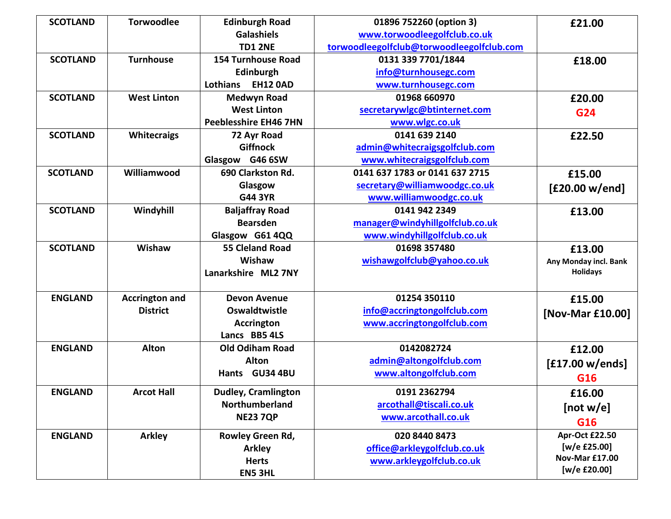| <b>SCOTLAND</b> | <b>Torwoodlee</b>     | <b>Edinburgh Road</b>        | 01896 752260 (option 3)                   | £21.00                |
|-----------------|-----------------------|------------------------------|-------------------------------------------|-----------------------|
|                 |                       | <b>Galashiels</b>            | www.torwoodleegolfclub.co.uk              |                       |
|                 |                       | <b>TD1 2NE</b>               | torwoodleegolfclub@torwoodleegolfclub.com |                       |
| <b>SCOTLAND</b> | <b>Turnhouse</b>      | <b>154 Turnhouse Road</b>    | 0131 339 7701/1844                        | £18.00                |
|                 |                       | Edinburgh                    | info@turnhousegc.com                      |                       |
|                 |                       | <b>EH12 0AD</b><br>Lothians  | www.turnhousegc.com                       |                       |
| <b>SCOTLAND</b> | <b>West Linton</b>    | <b>Medwyn Road</b>           | 01968 660970                              | £20.00                |
|                 |                       | <b>West Linton</b>           | secretarywlgc@btinternet.com              | G24                   |
|                 |                       | <b>Peeblesshire EH46 7HN</b> | www.wlgc.co.uk                            |                       |
| <b>SCOTLAND</b> | <b>Whitecraigs</b>    | 72 Ayr Road                  | 0141 639 2140                             | £22.50                |
|                 |                       | <b>Giffnock</b>              | admin@whitecraigsgolfclub.com             |                       |
|                 |                       | Glasgow G46 6SW              | www.whitecraigsgolfclub.com               |                       |
| <b>SCOTLAND</b> | Williamwood           | 690 Clarkston Rd.            | 0141 637 1783 or 0141 637 2715            | £15.00                |
|                 |                       | Glasgow                      | secretary@williamwoodgc.co.uk             | [£20.00 w/end]        |
|                 |                       | <b>G44 3YR</b>               | www.williamwoodgc.co.uk                   |                       |
| <b>SCOTLAND</b> | Windyhill             | <b>Baljaffray Road</b>       | 0141 942 2349                             | £13.00                |
|                 |                       | <b>Bearsden</b>              | manager@windyhillgolfclub.co.uk           |                       |
|                 |                       | Glasgow G61 4QQ              | www.windyhillgolfclub.co.uk               |                       |
| <b>SCOTLAND</b> | Wishaw                | <b>55 Cleland Road</b>       | 01698 357480                              | £13.00                |
|                 |                       | Wishaw                       | wishawgolfclub@yahoo.co.uk                | Any Monday incl. Bank |
|                 |                       | Lanarkshire ML2 7NY          |                                           | <b>Holidays</b>       |
|                 |                       |                              |                                           |                       |
| <b>ENGLAND</b>  | <b>Accrington and</b> | <b>Devon Avenue</b>          | 01254 350110                              | £15.00                |
|                 | <b>District</b>       | <b>Oswaldtwistle</b>         | info@accringtongolfclub.com               | [Nov-Mar £10.00]      |
|                 |                       | <b>Accrington</b>            | www.accringtongolfclub.com                |                       |
|                 |                       | Lancs BB5 4LS                |                                           |                       |
| <b>ENGLAND</b>  | <b>Alton</b>          | <b>Old Odiham Road</b>       | 0142082724                                | £12.00                |
|                 |                       | <b>Alton</b>                 | admin@altongolfclub.com                   | [£17.00 w/ends]       |
|                 |                       | Hants GU34 4BU               | www.altongolfclub.com                     | G16                   |
| <b>ENGLAND</b>  | <b>Arcot Hall</b>     | <b>Dudley, Cramlington</b>   | 0191 2362794                              | £16.00                |
|                 |                       | Northumberland               | arcothall@tiscali.co.uk                   | [not w/e]             |
|                 |                       | <b>NE23 7QP</b>              | www.arcothall.co.uk                       | G16                   |
| <b>ENGLAND</b>  | <b>Arkley</b>         | Rowley Green Rd,             | 020 8440 8473                             | Apr-Oct £22.50        |
|                 |                       | <b>Arkley</b>                | office@arkleygolfclub.co.uk               | [w/e £25.00]          |
|                 |                       | <b>Herts</b>                 | www.arkleygolfclub.co.uk                  | <b>Nov-Mar £17.00</b> |
|                 |                       | <b>EN5 3HL</b>               |                                           | [w/e £20.00]          |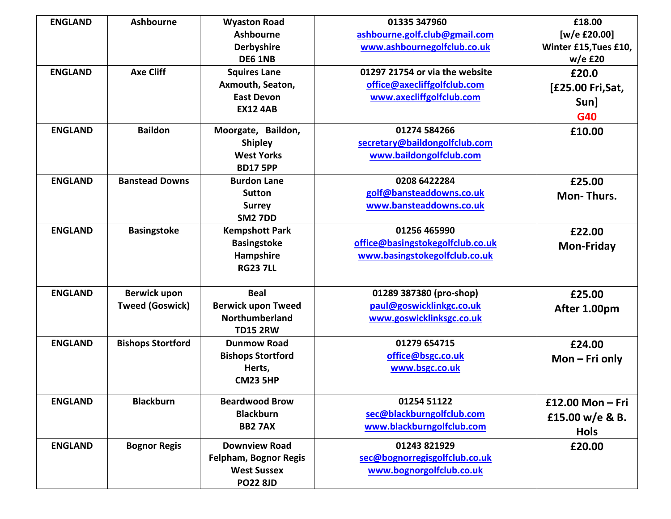| <b>ENGLAND</b> | <b>Ashbourne</b>         | <b>Wyaston Road</b>          | 01335 347960                     | £18.00                |
|----------------|--------------------------|------------------------------|----------------------------------|-----------------------|
|                |                          | <b>Ashbourne</b>             | ashbourne.golf.club@gmail.com    | [w/e £20.00]          |
|                |                          | Derbyshire                   | www.ashbournegolfclub.co.uk      | Winter £15, Tues £10, |
|                |                          | <b>DE6 1NB</b>               |                                  | $w/e$ £20             |
| <b>ENGLAND</b> | <b>Axe Cliff</b>         | <b>Squires Lane</b>          | 01297 21754 or via the website   | £20.0                 |
|                |                          | Axmouth, Seaton,             | office@axecliffgolfclub.com      | [£25.00 Fri, Sat,     |
|                |                          | <b>East Devon</b>            | www.axecliffgolfclub.com         | Sun]                  |
|                |                          | <b>EX12 4AB</b>              |                                  | G40                   |
| <b>ENGLAND</b> | <b>Baildon</b>           |                              | 01274 584266                     |                       |
|                |                          | Moorgate, Baildon,           |                                  | £10.00                |
|                |                          | <b>Shipley</b>               | secretary@baildongolfclub.com    |                       |
|                |                          | <b>West Yorks</b>            | www.baildongolfclub.com          |                       |
|                |                          | <b>BD17 5PP</b>              |                                  |                       |
| <b>ENGLAND</b> | <b>Banstead Downs</b>    | <b>Burdon Lane</b>           | 0208 6422284                     | £25.00                |
|                |                          | <b>Sutton</b>                | golf@bansteaddowns.co.uk         | Mon-Thurs.            |
|                |                          | <b>Surrey</b>                | www.bansteaddowns.co.uk          |                       |
|                |                          | <b>SM2 7DD</b>               |                                  |                       |
| <b>ENGLAND</b> | <b>Basingstoke</b>       | <b>Kempshott Park</b>        | 01256 465990                     | £22.00                |
|                |                          | <b>Basingstoke</b>           | office@basingstokegolfclub.co.uk | <b>Mon-Friday</b>     |
|                |                          | Hampshire                    | www.basingstokegolfclub.co.uk    |                       |
|                |                          | <b>RG23 7LL</b>              |                                  |                       |
|                |                          |                              |                                  |                       |
| <b>ENGLAND</b> | <b>Berwick upon</b>      | <b>Beal</b>                  | 01289 387380 (pro-shop)          | £25.00                |
|                | <b>Tweed (Goswick)</b>   | <b>Berwick upon Tweed</b>    | paul@goswicklinkgc.co.uk         | After 1.00pm          |
|                |                          | Northumberland               | www.goswicklinksgc.co.uk         |                       |
|                |                          | <b>TD15 2RW</b>              |                                  |                       |
| <b>ENGLAND</b> | <b>Bishops Stortford</b> | <b>Dunmow Road</b>           | 01279 654715                     | £24.00                |
|                |                          | <b>Bishops Stortford</b>     | office@bsgc.co.uk                | $Mon$ – Fri only      |
|                |                          | Herts,                       | www.bsgc.co.uk                   |                       |
|                |                          | <b>CM23 5HP</b>              |                                  |                       |
| <b>ENGLAND</b> | <b>Blackburn</b>         | <b>Beardwood Brow</b>        | 01254 51122                      | £12.00 Mon - Fri      |
|                |                          | <b>Blackburn</b>             | sec@blackburngolfclub.com        |                       |
|                |                          | <b>BB2 7AX</b>               | www.blackburngolfclub.com        | £15.00 w/e & B.       |
|                |                          |                              |                                  | <b>Hols</b>           |
| <b>ENGLAND</b> | <b>Bognor Regis</b>      | <b>Downview Road</b>         | 01243 821929                     | £20.00                |
|                |                          | <b>Felpham, Bognor Regis</b> | sec@bognorregisgolfclub.co.uk    |                       |
|                |                          | <b>West Sussex</b>           | www.bognorgolfclub.co.uk         |                       |
|                |                          | <b>PO22 8JD</b>              |                                  |                       |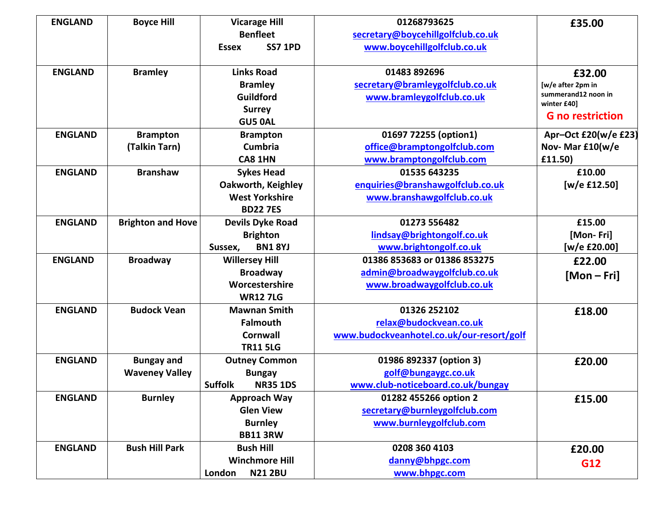| <b>ENGLAND</b> | <b>Boyce Hill</b>        | <b>Vicarage Hill</b>              | 01268793625                               | £35.00                             |
|----------------|--------------------------|-----------------------------------|-------------------------------------------|------------------------------------|
|                |                          | <b>Benfleet</b>                   | secretary@boycehillgolfclub.co.uk         |                                    |
|                |                          | <b>SS7 1PD</b><br><b>Essex</b>    | www.boycehillgolfclub.co.uk               |                                    |
|                |                          |                                   |                                           |                                    |
| <b>ENGLAND</b> | <b>Bramley</b>           | <b>Links Road</b>                 | 01483 892696                              | £32.00                             |
|                |                          | <b>Bramley</b>                    | secretary@bramleygolfclub.co.uk           | [w/e after 2pm in                  |
|                |                          | Guildford                         | www.bramleygolfclub.co.uk                 | summerand12 noon in<br>winter £40] |
|                |                          | <b>Surrey</b>                     |                                           | <b>G</b> no restriction            |
|                |                          | <b>GU5 0AL</b>                    |                                           |                                    |
| <b>ENGLAND</b> | <b>Brampton</b>          | <b>Brampton</b>                   | 01697 72255 (option1)                     | Apr-Oct £20(w/e £23)               |
|                | (Talkin Tarn)            | <b>Cumbria</b>                    | office@bramptongolfclub.com               | Nov-Mar £10(w/e                    |
|                |                          | CA8 1HN                           | www.bramptongolfclub.com                  | £11.50)                            |
| <b>ENGLAND</b> | <b>Branshaw</b>          | <b>Sykes Head</b>                 | 01535 643235                              | £10.00                             |
|                |                          | Oakworth, Keighley                | enquiries@branshawgolfclub.co.uk          | [w/e £12.50]                       |
|                |                          | <b>West Yorkshire</b>             | www.branshawgolfclub.co.uk                |                                    |
|                |                          | <b>BD22 7ES</b>                   |                                           |                                    |
| <b>ENGLAND</b> | <b>Brighton and Hove</b> | <b>Devils Dyke Road</b>           | 01273 556482                              | £15.00                             |
|                |                          | <b>Brighton</b>                   | lindsay@brightongolf.co.uk                | [Mon-Fri]                          |
|                |                          | <b>BN1 8YJ</b><br>Sussex,         | www.brightongolf.co.uk                    | [w/e £20.00]                       |
| <b>ENGLAND</b> | <b>Broadway</b>          | <b>Willersey Hill</b>             | 01386 853683 or 01386 853275              | £22.00                             |
|                |                          | <b>Broadway</b>                   | admin@broadwaygolfclub.co.uk              | $[Mon-Fri]$                        |
|                |                          | Worcestershire                    | www.broadwaygolfclub.co.uk                |                                    |
|                |                          | <b>WR127LG</b>                    |                                           |                                    |
| <b>ENGLAND</b> | <b>Budock Vean</b>       | <b>Mawnan Smith</b>               | 01326 252102                              | £18.00                             |
|                |                          | <b>Falmouth</b>                   | relax@budockvean.co.uk                    |                                    |
|                |                          | <b>Cornwall</b>                   | www.budockveanhotel.co.uk/our-resort/golf |                                    |
|                |                          | <b>TR11 5LG</b>                   |                                           |                                    |
| <b>ENGLAND</b> | <b>Bungay and</b>        | <b>Outney Common</b>              | 01986 892337 (option 3)                   | £20.00                             |
|                | <b>Waveney Valley</b>    | <b>Bungay</b>                     | golf@bungaygc.co.uk                       |                                    |
|                |                          | <b>Suffolk</b><br><b>NR35 1DS</b> | www.club-noticeboard.co.uk/bungay         |                                    |
| <b>ENGLAND</b> | <b>Burnley</b>           | <b>Approach Way</b>               | 01282 455266 option 2                     | £15.00                             |
|                |                          | <b>Glen View</b>                  | secretary@burnleygolfclub.com             |                                    |
|                |                          | <b>Burnley</b>                    | www.burnleygolfclub.com                   |                                    |
|                |                          | <b>BB11 3RW</b>                   |                                           |                                    |
| <b>ENGLAND</b> | <b>Bush Hill Park</b>    | <b>Bush Hill</b>                  | 0208 360 4103                             | £20.00                             |
|                |                          | <b>Winchmore Hill</b>             | danny@bhpgc.com                           | G12                                |
|                |                          | <b>N21 2BU</b><br>London          | www.bhpgc.com                             |                                    |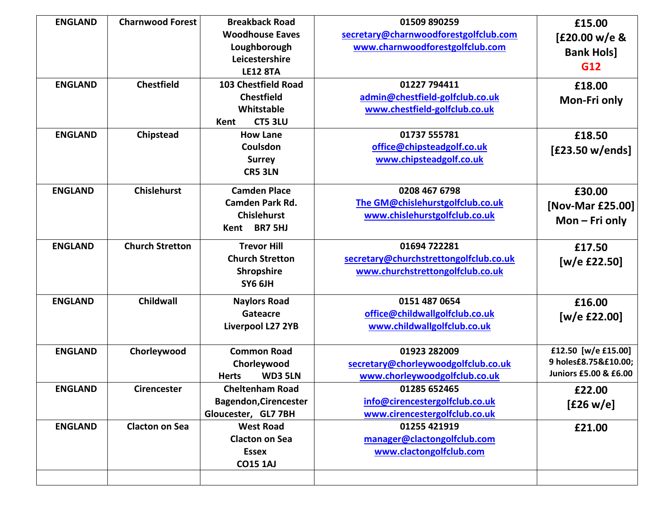| <b>ENGLAND</b> | <b>Charnwood Forest</b> | <b>Breakback Road</b>          | 01509 890259                           | £15.00                |
|----------------|-------------------------|--------------------------------|----------------------------------------|-----------------------|
|                |                         | <b>Woodhouse Eaves</b>         | secretary@charnwoodforestgolfclub.com  | [£20.00 w/e &         |
|                |                         | Loughborough                   | www.charnwoodforestgolfclub.com        | <b>Bank Hols]</b>     |
|                |                         | Leicestershire                 |                                        | G12                   |
|                |                         | <b>LE12 8TA</b>                |                                        |                       |
| <b>ENGLAND</b> | <b>Chestfield</b>       | <b>103 Chestfield Road</b>     | 01227 794411                           | £18.00                |
|                |                         | <b>Chestfield</b>              | admin@chestfield-golfclub.co.uk        | Mon-Fri only          |
|                |                         | Whitstable                     | www.chestfield-golfclub.co.uk          |                       |
|                |                         | <b>CT5 3LU</b><br>Kent         |                                        |                       |
| <b>ENGLAND</b> | Chipstead               | <b>How Lane</b>                | 01737 555781                           | £18.50                |
|                |                         | Coulsdon                       | office@chipsteadgolf.co.uk             | [£23.50 w/ends]       |
|                |                         | <b>Surrey</b>                  | www.chipsteadgolf.co.uk                |                       |
|                |                         | <b>CR5 3LN</b>                 |                                        |                       |
| <b>ENGLAND</b> | <b>Chislehurst</b>      | <b>Camden Place</b>            | 0208 467 6798                          | £30.00                |
|                |                         | <b>Camden Park Rd.</b>         | The GM@chislehurstgolfclub.co.uk       | [Nov-Mar £25.00]      |
|                |                         | <b>Chislehurst</b>             | www.chislehurstgolfclub.co.uk          |                       |
|                |                         | <b>BR7 5HJ</b><br>Kent         |                                        | Mon $-$ Fri only      |
| <b>ENGLAND</b> | <b>Church Stretton</b>  | <b>Trevor Hill</b>             | 01694 722281                           | £17.50                |
|                |                         | <b>Church Stretton</b>         | secretary@churchstrettongolfclub.co.uk | [w/e £22.50]          |
|                |                         | <b>Shropshire</b>              | www.churchstrettongolfclub.co.uk       |                       |
|                |                         | SY6 6JH                        |                                        |                       |
| <b>ENGLAND</b> | <b>Childwall</b>        | <b>Naylors Road</b>            | 0151 487 0654                          | £16.00                |
|                |                         | Gateacre                       | office@childwallgolfclub.co.uk         | [w/e £22.00]          |
|                |                         | Liverpool L27 2YB              | www.childwallgolfclub.co.uk            |                       |
| <b>ENGLAND</b> | Chorleywood             | <b>Common Road</b>             | 01923 282009                           | £12.50 [w/e £15.00]   |
|                |                         | Chorleywood                    | secretary@chorleywoodgolfclub.co.uk    | 9 holes£8.75&£10.00;  |
|                |                         | <b>WD3 5LN</b><br><b>Herts</b> | www.chorleywoodgolfclub.co.uk          | Juniors £5.00 & £6.00 |
| <b>ENGLAND</b> | <b>Cirencester</b>      | <b>Cheltenham Road</b>         | 01285 652465                           | £22.00                |
|                |                         | <b>Bagendon, Cirencester</b>   | info@cirencestergolfclub.co.uk         | [£26 w/e]             |
|                |                         | Gloucester, GL7 7BH            | www.cirencestergolfclub.co.uk          |                       |
| <b>ENGLAND</b> | <b>Clacton on Sea</b>   | <b>West Road</b>               | 01255 421919                           | £21.00                |
|                |                         | <b>Clacton on Sea</b>          | manager@clactongolfclub.com            |                       |
|                |                         | <b>Essex</b>                   | www.clactongolfclub.com                |                       |
|                |                         | <b>CO15 1AJ</b>                |                                        |                       |
|                |                         |                                |                                        |                       |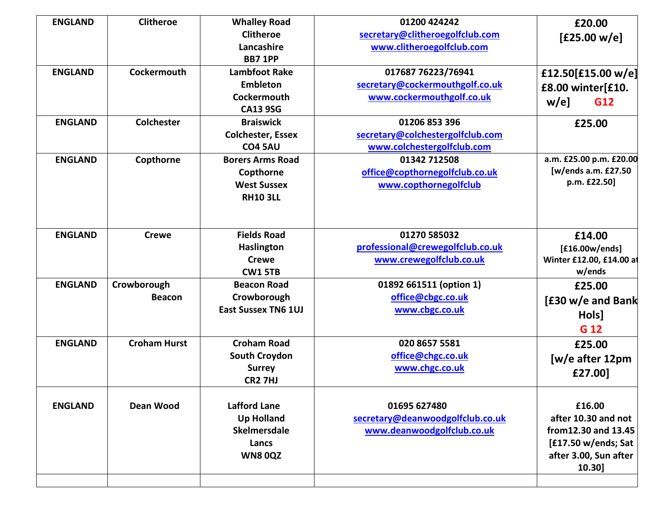| <b>ENGLAND</b> | <b>Clitheroe</b>    | <b>Whalley Road</b>        | 01200 424242                     | £20.00                   |
|----------------|---------------------|----------------------------|----------------------------------|--------------------------|
|                |                     | <b>Clitheroe</b>           | secretary@clitheroegolfclub.com  | [£25.00 w/e]             |
|                |                     | Lancashire                 | www.clitheroegolfclub.com        |                          |
|                |                     | <b>BB7 1PP</b>             |                                  |                          |
| <b>ENGLAND</b> | Cockermouth         | <b>Lambfoot Rake</b>       | 017687 76223/76941               | £12.50[£15.00 w/e]       |
|                |                     | <b>Embleton</b>            | secretary@cockermouthgolf.co.uk  | £8.00 winter[£10.        |
|                |                     | <b>Cockermouth</b>         | www.cockermouthgolf.co.uk        | $w/e$ ]<br>G12           |
|                |                     | <b>CA13 9SG</b>            |                                  |                          |
| <b>ENGLAND</b> | <b>Colchester</b>   | <b>Braiswick</b>           | 01206 853 396                    | £25.00                   |
|                |                     | <b>Colchester, Essex</b>   | secretary@colchestergolfclub.com |                          |
|                |                     | <b>CO4 5AU</b>             | www.colchestergolfclub.com       |                          |
| <b>ENGLAND</b> | Copthorne           | <b>Borers Arms Road</b>    | 01342 712508                     | a.m. £25.00 p.m. £20.00  |
|                |                     | Copthorne                  | office@copthornegolfclub.co.uk   | [w/ends a.m. £27.50      |
|                |                     | <b>West Sussex</b>         | www.copthornegolfclub            | p.m. £22.50]             |
|                |                     | <b>RH10 3LL</b>            |                                  |                          |
|                |                     |                            |                                  |                          |
| <b>ENGLAND</b> | <b>Crewe</b>        | <b>Fields Road</b>         | 01270 585032                     | £14.00                   |
|                |                     | <b>Haslington</b>          | professional@crewegolfclub.co.uk | [£16.00w/ends]           |
|                |                     | <b>Crewe</b>               | www.crewegolfclub.co.uk          | Winter £12.00, £14.00 at |
|                |                     | <b>CW1 5TB</b>             |                                  | w/ends                   |
| <b>ENGLAND</b> | Crowborough         | <b>Beacon Road</b>         | 01892 661511 (option 1)          | £25.00                   |
|                | <b>Beacon</b>       | Crowborough                | office@cbgc.co.uk                | [£30 w/e and Bank        |
|                |                     | <b>East Sussex TN6 1UJ</b> | www.cbgc.co.uk                   |                          |
|                |                     |                            |                                  | Hols]                    |
|                |                     |                            |                                  | G 12                     |
| <b>ENGLAND</b> | <b>Croham Hurst</b> | <b>Croham Road</b>         | 020 8657 5581                    | £25.00                   |
|                |                     | <b>South Croydon</b>       | office@chgc.co.uk                | [w/e after 12pm          |
|                |                     | <b>Surrey</b>              | www.chgc.co.uk                   | £27.00]                  |
|                |                     | <b>CR2 7HJ</b>             |                                  |                          |
| <b>ENGLAND</b> | <b>Dean Wood</b>    | <b>Lafford Lane</b>        | 01695 627480                     | £16.00                   |
|                |                     | <b>Up Holland</b>          | secretary@deanwoodgolfclub.co.uk | after 10.30 and not      |
|                |                     | <b>Skelmersdale</b>        | www.deanwoodgolfclub.co.uk       | from 12.30 and 13.45     |
|                |                     | Lancs                      |                                  | [£17.50 w/ends; Sat      |
|                |                     | <b>WN80QZ</b>              |                                  | after 3.00, Sun after    |
|                |                     |                            |                                  | 10.30]                   |
|                |                     |                            |                                  |                          |
|                |                     |                            |                                  |                          |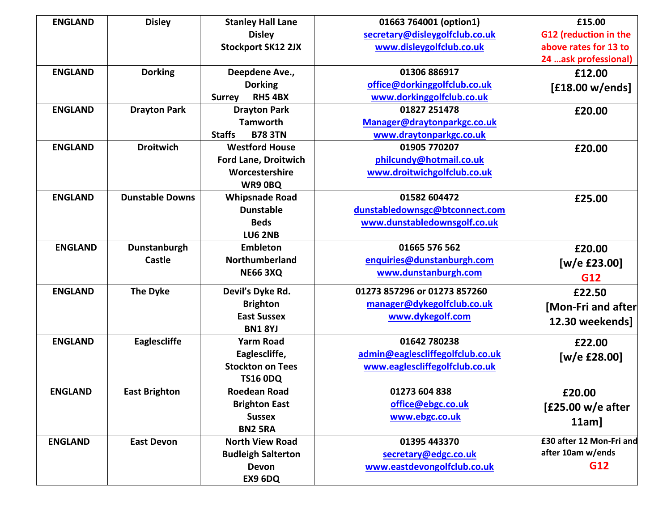| <b>ENGLAND</b> | <b>Disley</b>          | <b>Stanley Hall Lane</b>        | 01663 764001 (option1)           | £15.00                   |
|----------------|------------------------|---------------------------------|----------------------------------|--------------------------|
|                |                        | <b>Disley</b>                   | secretary@disleygolfclub.co.uk   | G12 (reduction in the    |
|                |                        | <b>Stockport SK12 2JX</b>       | www.disleygolfclub.co.uk         | above rates for 13 to    |
|                |                        |                                 |                                  | 24  ask professional)    |
| <b>ENGLAND</b> | <b>Dorking</b>         | Deepdene Ave.,                  | 01306 886917                     | £12.00                   |
|                |                        | <b>Dorking</b>                  | office@dorkinggolfclub.co.uk     | [£18.00 w/ends]          |
|                |                        | <b>RH5 4BX</b><br><b>Surrey</b> | www.dorkinggolfclub.co.uk        |                          |
| <b>ENGLAND</b> | <b>Drayton Park</b>    | <b>Drayton Park</b>             | 01827 251478                     | £20.00                   |
|                |                        | <b>Tamworth</b>                 | Manager@draytonparkgc.co.uk      |                          |
|                |                        | <b>Staffs</b><br><b>B78 3TN</b> | www.draytonparkgc.co.uk          |                          |
| <b>ENGLAND</b> | <b>Droitwich</b>       | <b>Westford House</b>           | 01905 770207                     | £20.00                   |
|                |                        | <b>Ford Lane, Droitwich</b>     | philcundy@hotmail.co.uk          |                          |
|                |                        | Worcestershire                  | www.droitwichgolfclub.co.uk      |                          |
|                |                        | WR9 OBQ                         |                                  |                          |
| <b>ENGLAND</b> | <b>Dunstable Downs</b> | <b>Whipsnade Road</b>           | 01582 604472                     | £25.00                   |
|                |                        | <b>Dunstable</b>                | dunstabledownsgc@btconnect.com   |                          |
|                |                        | <b>Beds</b>                     | www.dunstabledownsgolf.co.uk     |                          |
|                |                        | <b>LU6 2NB</b>                  |                                  |                          |
| <b>ENGLAND</b> | Dunstanburgh           | <b>Embleton</b>                 | 01665 576 562                    | £20.00                   |
|                | Castle                 | Northumberland                  | enquiries@dunstanburgh.com       | [ $w/e$ £23.00]          |
|                |                        | <b>NE66 3XQ</b>                 | www.dunstanburgh.com             | G12                      |
| <b>ENGLAND</b> | <b>The Dyke</b>        | Devil's Dyke Rd.                | 01273 857296 or 01273 857260     | £22.50                   |
|                |                        | <b>Brighton</b>                 | manager@dykegolfclub.co.uk       |                          |
|                |                        | <b>East Sussex</b>              | www.dykegolf.com                 | [Mon-Fri and after       |
|                |                        | <b>BN1 8YJ</b>                  |                                  | 12.30 weekends]          |
| <b>ENGLAND</b> | Eaglescliffe           | <b>Yarm Road</b>                | 01642 780238                     | £22.00                   |
|                |                        | Eaglescliffe,                   | admin@eaglescliffegolfclub.co.uk |                          |
|                |                        | <b>Stockton on Tees</b>         | www.eaglescliffegolfclub.co.uk   | [w/e £28.00]             |
|                |                        | <b>TS16 0DQ</b>                 |                                  |                          |
| <b>ENGLAND</b> | <b>East Brighton</b>   | <b>Roedean Road</b>             | 01273 604 838                    | £20.00                   |
|                |                        | <b>Brighton East</b>            | office@ebgc.co.uk                |                          |
|                |                        | <b>Sussex</b>                   | www.ebgc.co.uk                   | [£25.00 w/e after        |
|                |                        | <b>BN2 5RA</b>                  |                                  | $11am$ ]                 |
| <b>ENGLAND</b> | <b>East Devon</b>      | <b>North View Road</b>          | 01395 443370                     | £30 after 12 Mon-Fri and |
|                |                        | <b>Budleigh Salterton</b>       | secretary@edgc.co.uk             | after 10am w/ends        |
|                |                        | <b>Devon</b>                    | www.eastdevongolfclub.co.uk      | G12                      |
|                |                        | EX9 6DQ                         |                                  |                          |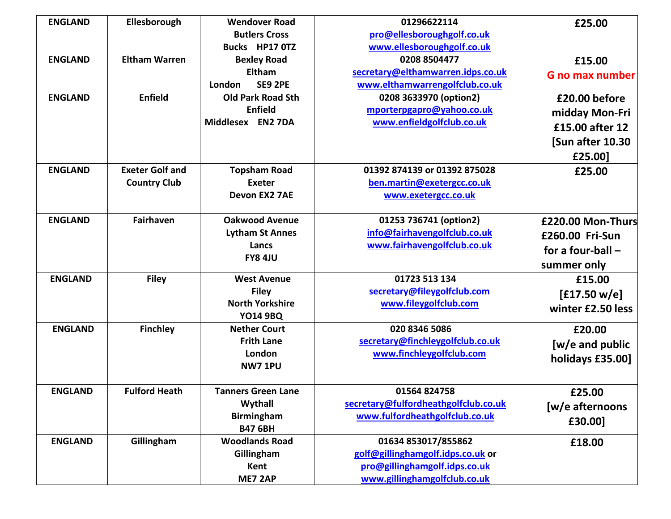| <b>ENGLAND</b> | Ellesborough           | <b>Wendover Road</b>      | 01296622114                          | £25.00                 |
|----------------|------------------------|---------------------------|--------------------------------------|------------------------|
|                |                        | <b>Butlers Cross</b>      | pro@ellesboroughgolf.co.uk           |                        |
|                |                        | Bucks HP17 0TZ            | www.ellesboroughgolf.co.uk           |                        |
| <b>ENGLAND</b> | <b>Eltham Warren</b>   | <b>Bexley Road</b>        | 0208 8504477                         | £15.00                 |
|                |                        | <b>Eltham</b>             | secretary@elthamwarren.idps.co.uk    | <b>G</b> no max number |
|                |                        | <b>SE9 2PE</b><br>London  | www.elthamwarrengolfclub.co.uk       |                        |
| <b>ENGLAND</b> | <b>Enfield</b>         | <b>Old Park Road Sth</b>  | 0208 3633970 (option2)               | £20.00 before          |
|                |                        | <b>Enfield</b>            | mporterpgapro@yahoo.co.uk            | midday Mon-Fri         |
|                |                        | Middlesex EN2 7DA         | www.enfieldgolfclub.co.uk            | £15.00 after 12        |
|                |                        |                           |                                      | [Sun after 10.30       |
|                |                        |                           |                                      | £25.00]                |
| <b>ENGLAND</b> | <b>Exeter Golf and</b> | <b>Topsham Road</b>       | 01392 874139 or 01392 875028         | £25.00                 |
|                | <b>Country Club</b>    | <b>Exeter</b>             | ben.martin@exetergcc.co.uk           |                        |
|                |                        | Devon EX2 7AE             | www.exetergcc.co.uk                  |                        |
|                |                        |                           |                                      |                        |
| <b>ENGLAND</b> | <b>Fairhaven</b>       | <b>Oakwood Avenue</b>     | 01253 736741 (option2)               | £220.00 Mon-Thurs      |
|                |                        | <b>Lytham St Annes</b>    | info@fairhavengolfclub.co.uk         | £260.00 Fri-Sun        |
|                |                        | Lancs                     | www.fairhavengolfclub.co.uk          | for a four-ball $-$    |
|                |                        | <b>FY8 4JU</b>            |                                      |                        |
|                |                        |                           |                                      | summer only            |
| <b>ENGLAND</b> | <b>Filey</b>           | <b>West Avenue</b>        | 01723 513 134                        | £15.00                 |
|                |                        | <b>Filey</b>              | secretary@fileygolfclub.com          | [£17.50 w/e]           |
|                |                        | <b>North Yorkshire</b>    | www.fileygolfclub.com                | winter £2.50 less      |
|                |                        | <b>YO14 9BQ</b>           |                                      |                        |
| <b>ENGLAND</b> | <b>Finchley</b>        | <b>Nether Court</b>       | 020 8346 5086                        | £20.00                 |
|                |                        | <b>Frith Lane</b>         | secretary@finchleygolfclub.co.uk     | [w/e and public        |
|                |                        | London                    | www.finchleygolfclub.com             | holidays £35.00]       |
|                |                        | <b>NW7 1PU</b>            |                                      |                        |
| <b>ENGLAND</b> | <b>Fulford Heath</b>   | <b>Tanners Green Lane</b> | 01564 824758                         | £25.00                 |
|                |                        | Wythall                   | secretary@fulfordheathgolfclub.co.uk | [w/e afternoons        |
|                |                        | <b>Birmingham</b>         | www.fulfordheathgolfclub.co.uk       |                        |
|                |                        | <b>B47 6BH</b>            |                                      | £30.00]                |
| <b>ENGLAND</b> | Gillingham             | <b>Woodlands Road</b>     | 01634 853017/855862                  | £18.00                 |
|                |                        | Gillingham                | golf@gillinghamgolf.idps.co.uk or    |                        |
|                |                        | Kent                      | pro@gillinghamgolf.idps.co.uk        |                        |
|                |                        | ME7 2AP                   | www.gillinghamgolfclub.co.uk         |                        |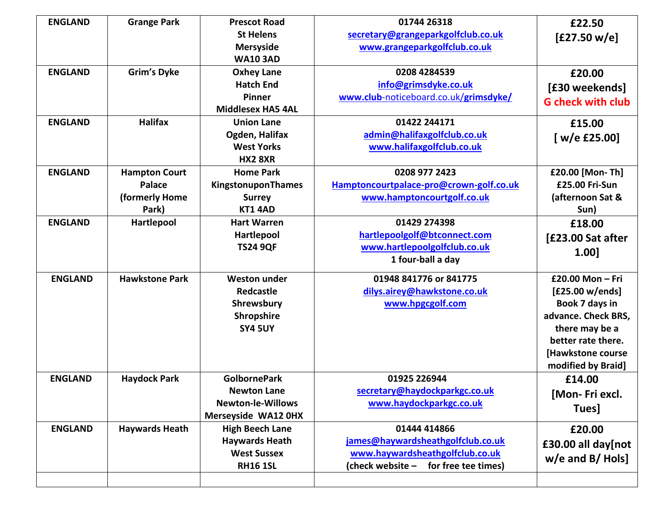| <b>ENGLAND</b> | <b>Grange Park</b>    | <b>Prescot Road</b>      | 01744 26318                             | £22.50                   |
|----------------|-----------------------|--------------------------|-----------------------------------------|--------------------------|
|                |                       | <b>St Helens</b>         | secretary@grangeparkgolfclub.co.uk      | [£27.50 w/e]             |
|                |                       | <b>Mersyside</b>         | www.grangeparkgolfclub.co.uk            |                          |
|                |                       | <b>WA10 3AD</b>          |                                         |                          |
| <b>ENGLAND</b> | <b>Grim's Dyke</b>    | <b>Oxhey Lane</b>        | 0208 4284539                            | £20.00                   |
|                |                       | <b>Hatch End</b>         | info@grimsdyke.co.uk                    | [£30 weekends]           |
|                |                       | Pinner                   | www.club-noticeboard.co.uk/grimsdyke/   | <b>G</b> check with club |
|                |                       | <b>Middlesex HA5 4AL</b> |                                         |                          |
| <b>ENGLAND</b> | <b>Halifax</b>        | <b>Union Lane</b>        | 01422 244171                            | £15.00                   |
|                |                       | Ogden, Halifax           | admin@halifaxgolfclub.co.uk             | [ $w/e$ £25.00]          |
|                |                       | <b>West Yorks</b>        | www.halifaxgolfclub.co.uk               |                          |
|                |                       | <b>HX2 8XR</b>           |                                         |                          |
| <b>ENGLAND</b> | <b>Hampton Court</b>  | <b>Home Park</b>         | 0208 977 2423                           | £20.00 [Mon-Th]          |
|                | Palace                | KingstonuponThames       | Hamptoncourtpalace-pro@crown-golf.co.uk | £25.00 Fri-Sun           |
|                | (formerly Home        | <b>Surrey</b>            | www.hamptoncourtgolf.co.uk              | (afternoon Sat &         |
|                | Park)                 | KT14AD                   |                                         | Sun)                     |
| <b>ENGLAND</b> | Hartlepool            | <b>Hart Warren</b>       | 01429 274398                            | £18.00                   |
|                |                       | Hartlepool               | hartlepoolgolf@btconnect.com            | [£23.00 Sat after        |
|                |                       | <b>TS24 9QF</b>          | www.hartlepoolgolfclub.co.uk            | 1.00]                    |
|                |                       |                          | 1 four-ball a day                       |                          |
| <b>ENGLAND</b> | <b>Hawkstone Park</b> | <b>Weston under</b>      | 01948 841776 or 841775                  | £20.00 Mon - Fri         |
|                |                       | Redcastle                | dilys.airey@hawkstone.co.uk             | [£25.00 w/ends]          |
|                |                       | Shrewsbury               | www.hpgcgolf.com                        | Book 7 days in           |
|                |                       | Shropshire               |                                         | advance. Check BRS,      |
|                |                       | <b>SY4 5UY</b>           |                                         | there may be a           |
|                |                       |                          |                                         | better rate there.       |
|                |                       |                          |                                         | [Hawkstone course        |
|                |                       |                          |                                         | modified by Braid]       |
| <b>ENGLAND</b> | <b>Haydock Park</b>   | <b>GolbornePark</b>      | 01925 226944                            | £14.00                   |
|                |                       | <b>Newton Lane</b>       | secretary@haydockparkgc.co.uk           | [Mon-Friexcl.            |
|                |                       | <b>Newton-le-Willows</b> | www.haydockparkgc.co.uk                 | Tues]                    |
|                |                       | Merseyside WA12 0HX      |                                         |                          |
| <b>ENGLAND</b> | <b>Haywards Heath</b> | <b>High Beech Lane</b>   | 01444 414866                            | £20.00                   |
|                |                       | <b>Haywards Heath</b>    | james@haywardsheathgolfclub.co.uk       | £30.00 all day[not       |
|                |                       | <b>West Sussex</b>       | www.haywardsheathgolfclub.co.uk         | $w/e$ and B/Hols]        |
|                |                       | <b>RH16 1SL</b>          | (check website –<br>for free tee times) |                          |
|                |                       |                          |                                         |                          |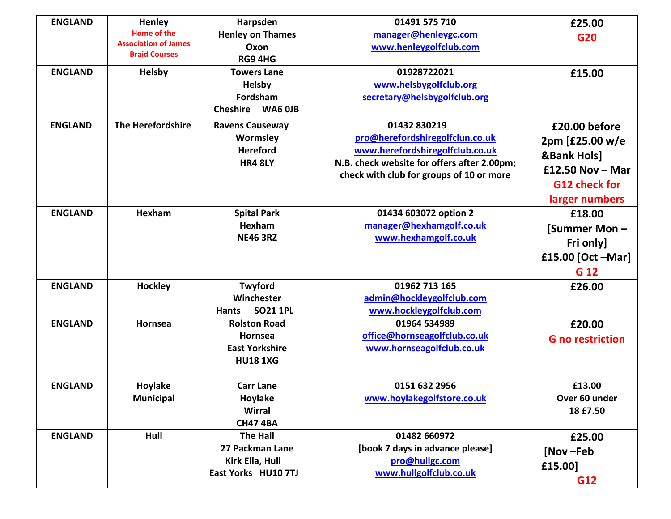| <b>ENGLAND</b> | Henley                                                                    | Harpsden                                                                          | 01491 575 710                                                                                                                                                                 | £25.00                                                                                                              |
|----------------|---------------------------------------------------------------------------|-----------------------------------------------------------------------------------|-------------------------------------------------------------------------------------------------------------------------------------------------------------------------------|---------------------------------------------------------------------------------------------------------------------|
|                | <b>Home of the</b><br><b>Association of James</b><br><b>Braid Courses</b> | <b>Henley on Thames</b><br>Oxon<br>RG9 4HG                                        | manager@henleygc.com<br>www.henleygolfclub.com                                                                                                                                | G20                                                                                                                 |
| <b>ENGLAND</b> | Helsby                                                                    | <b>Towers Lane</b><br><b>Helsby</b><br>Fordsham<br>WA6 OJB<br><b>Cheshire</b>     | 01928722021<br>www.helsbygolfclub.org<br>secretary@helsbygolfclub.org                                                                                                         | £15.00                                                                                                              |
| <b>ENGLAND</b> | The Herefordshire                                                         | <b>Ravens Causeway</b><br>Wormsley<br><b>Hereford</b><br><b>HR4 8LY</b>           | 01432 830219<br>pro@herefordshiregolfclun.co.uk<br>www.herefordshiregolfclub.co.uk<br>N.B. check website for offers after 2.00pm;<br>check with club for groups of 10 or more | £20.00 before<br>2pm [£25.00 w/e<br><b>&amp;Bank Hols]</b><br>£12.50 Nov $-$ Mar<br>G12 check for<br>larger numbers |
| <b>ENGLAND</b> | Hexham                                                                    | <b>Spital Park</b><br>Hexham<br><b>NE46 3RZ</b>                                   | 01434 603072 option 2<br>manager@hexhamgolf.co.uk<br>www.hexhamgolf.co.uk                                                                                                     | £18.00<br>[Summer Mon-<br>Fri only]<br>£15.00 [Oct -Mar]<br>G 12                                                    |
| <b>ENGLAND</b> | <b>Hockley</b>                                                            | Twyford<br>Winchester<br><b>SO21 1PL</b><br><b>Hants</b>                          | 01962 713 165<br>admin@hockleygolfclub.com<br>www.hockleygolfclub.com                                                                                                         | £26.00                                                                                                              |
| <b>ENGLAND</b> | Hornsea                                                                   | <b>Rolston Road</b><br><b>Hornsea</b><br><b>East Yorkshire</b><br><b>HU18 1XG</b> | 01964 534989<br>office@hornseagolfclub.co.uk<br>www.hornseagolfclub.co.uk                                                                                                     | £20.00<br><b>G</b> no restriction                                                                                   |
| <b>ENGLAND</b> | Hoylake<br><b>Municipal</b>                                               | <b>Carr Lane</b><br>Hoylake<br><b>Wirral</b><br><b>CH47 4BA</b>                   | 0151 632 2956<br>www.hoylakegolfstore.co.uk                                                                                                                                   | £13.00<br>Over 60 under<br>18 £7.50                                                                                 |
| <b>ENGLAND</b> | Hull                                                                      | <b>The Hall</b><br>27 Packman Lane<br>Kirk Ella, Hull<br>East Yorks HU10 7TJ      | 01482 660972<br>[book 7 days in advance please]<br>pro@hullgc.com<br>www.hullgolfclub.co.uk                                                                                   | £25.00<br>[Nov-Feb<br>£15.00]<br>G12                                                                                |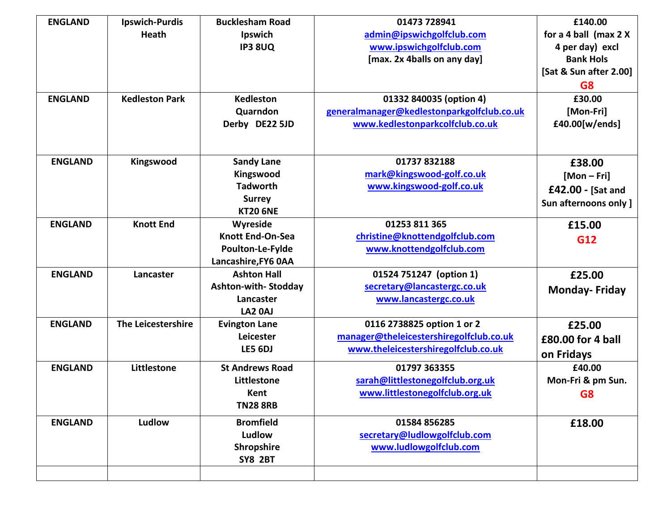| <b>ENGLAND</b> | <b>Ipswich-Purdis</b> | <b>Bucklesham Road</b>  | 01473 728941                               | £140.00                |
|----------------|-----------------------|-------------------------|--------------------------------------------|------------------------|
|                | <b>Heath</b>          | Ipswich                 | admin@ipswichgolfclub.com                  | for a 4 ball (max 2 X  |
|                |                       | <b>IP3 8UQ</b>          | www.ipswichgolfclub.com                    | 4 per day) excl        |
|                |                       |                         | [max. 2x 4balls on any day]                | <b>Bank Hols</b>       |
|                |                       |                         |                                            | [Sat & Sun after 2.00] |
|                |                       |                         |                                            | G <sub>8</sub>         |
| <b>ENGLAND</b> | <b>Kedleston Park</b> | <b>Kedleston</b>        | 01332 840035 (option 4)                    | £30.00                 |
|                |                       | Quarndon                | generalmanager@kedlestonparkgolfclub.co.uk | [Mon-Fri]              |
|                |                       | Derby DE22 5JD          | www.kedlestonparkcolfclub.co.uk            | £40.00[w/ends]         |
|                |                       |                         |                                            |                        |
| <b>ENGLAND</b> | Kingswood             | <b>Sandy Lane</b>       | 01737 832188                               | £38.00                 |
|                |                       | Kingswood               | mark@kingswood-golf.co.uk                  |                        |
|                |                       | <b>Tadworth</b>         | www.kingswood-golf.co.uk                   | $[Mon-Fri]$            |
|                |                       | <b>Surrey</b>           |                                            | £42.00 - [Sat and      |
|                |                       | <b>KT20 6NE</b>         |                                            | Sun afternoons only ]  |
| <b>ENGLAND</b> | <b>Knott End</b>      | Wyreside                | 01253 811 365                              | £15.00                 |
|                |                       | <b>Knott End-On-Sea</b> | christine@knottendgolfclub.com             | G12                    |
|                |                       | Poulton-Le-Fylde        | www.knottendgolfclub.com                   |                        |
|                |                       | Lancashire, FY6 0AA     |                                            |                        |
| <b>ENGLAND</b> | Lancaster             | <b>Ashton Hall</b>      | 01524 751247 (option 1)                    | £25.00                 |
|                |                       | Ashton-with-Stodday     | secretary@lancastergc.co.uk                | <b>Monday-Friday</b>   |
|                |                       | Lancaster               | www.lancastergc.co.uk                      |                        |
|                |                       | LA2 0AJ                 |                                            |                        |
| <b>ENGLAND</b> | The Leicestershire    | <b>Evington Lane</b>    | 0116 2738825 option 1 or 2                 | £25.00                 |
|                |                       | Leicester               | manager@theleicestershiregolfclub.co.uk    | £80.00 for 4 ball      |
|                |                       | LE5 6DJ                 | www.theleicestershiregolfclub.co.uk        | on Fridays             |
| <b>ENGLAND</b> | Littlestone           | <b>St Andrews Road</b>  | 01797 363355                               | £40.00                 |
|                |                       | Littlestone             | sarah@littlestonegolfclub.org.uk           | Mon-Fri & pm Sun.      |
|                |                       | Kent                    | www.littlestonegolfclub.org.uk             |                        |
|                |                       | <b>TN28 8RB</b>         |                                            | G8                     |
|                |                       |                         |                                            |                        |
| <b>ENGLAND</b> | Ludlow                | <b>Bromfield</b>        | 01584 856285                               | £18.00                 |
|                |                       | Ludlow                  | secretary@ludlowgolfclub.com               |                        |
|                |                       | Shropshire              | www.ludlowgolfclub.com                     |                        |
|                |                       | <b>SY8 2BT</b>          |                                            |                        |
|                |                       |                         |                                            |                        |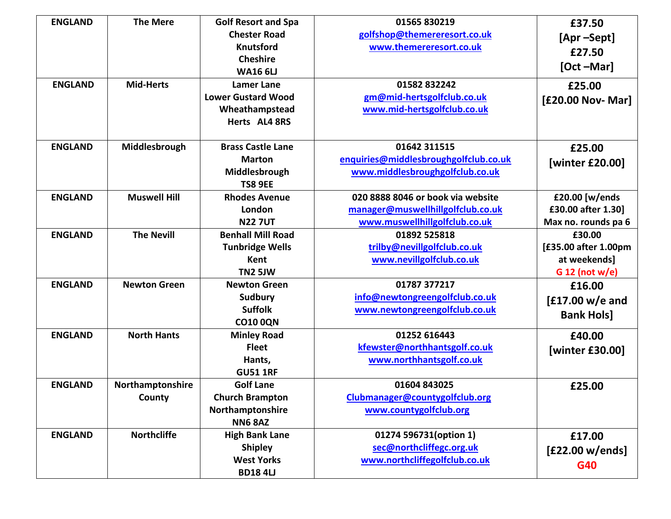| <b>ENGLAND</b> | <b>The Mere</b>     | <b>Golf Resort and Spa</b> | 01565 830219                          | £37.50               |
|----------------|---------------------|----------------------------|---------------------------------------|----------------------|
|                |                     | <b>Chester Road</b>        | golfshop@themereresort.co.uk          | [Apr-Sept]           |
|                |                     | Knutsford                  | www.themereresort.co.uk               | £27.50               |
|                |                     | <b>Cheshire</b>            |                                       | $[Oct - Mar]$        |
|                |                     | <b>WA16 6LJ</b>            |                                       |                      |
| <b>ENGLAND</b> | <b>Mid-Herts</b>    | <b>Lamer Lane</b>          | 01582832242                           | £25.00               |
|                |                     | <b>Lower Gustard Wood</b>  | gm@mid-hertsgolfclub.co.uk            | [£20.00 Nov- Mar]    |
|                |                     | Wheathampstead             | www.mid-hertsgolfclub.co.uk           |                      |
|                |                     | Herts AL4 8RS              |                                       |                      |
| <b>ENGLAND</b> | Middlesbrough       | <b>Brass Castle Lane</b>   | 01642 311515                          | £25.00               |
|                |                     | <b>Marton</b>              | enquiries@middlesbroughgolfclub.co.uk |                      |
|                |                     | Middlesbrough              | www.middlesbroughgolfclub.co.uk       | [winter £20.00]      |
|                |                     | <b>TS8 9EE</b>             |                                       |                      |
| <b>ENGLAND</b> | <b>Muswell Hill</b> | <b>Rhodes Avenue</b>       | 020 8888 8046 or book via website     | £20.00 [w/ends       |
|                |                     | London                     | manager@muswellhillgolfclub.co.uk     | £30.00 after 1.30]   |
|                |                     | <b>N227UT</b>              | www.muswellhillgolfclub.co.uk         | Max no. rounds pa 6  |
| <b>ENGLAND</b> | <b>The Nevill</b>   | <b>Benhall Mill Road</b>   | 01892 525818                          | £30.00               |
|                |                     | <b>Tunbridge Wells</b>     | trilby@nevillgolfclub.co.uk           | [£35.00 after 1.00pm |
|                |                     | Kent                       | www.nevillgolfclub.co.uk              | at weekends]         |
|                |                     | TN2 5JW                    |                                       | $G 12$ (not w/e)     |
| <b>ENGLAND</b> | <b>Newton Green</b> | <b>Newton Green</b>        | 01787 377217                          | £16.00               |
|                |                     | <b>Sudbury</b>             | info@newtongreengolfclub.co.uk        | $[£17.00 w/e$ and    |
|                |                     | <b>Suffolk</b>             | www.newtongreengolfclub.co.uk         | <b>Bank Hols]</b>    |
|                |                     | <b>CO10 0QN</b>            |                                       |                      |
| <b>ENGLAND</b> | <b>North Hants</b>  | <b>Minley Road</b>         | 01252 616443                          | £40.00               |
|                |                     | <b>Fleet</b>               | kfewster@northhantsgolf.co.uk         | [winter £30.00]      |
|                |                     | Hants,                     | www.northhantsgolf.co.uk              |                      |
|                |                     | <b>GU51 1RF</b>            |                                       |                      |
| <b>ENGLAND</b> | Northamptonshire    | <b>Golf Lane</b>           | 01604 843025                          | £25.00               |
|                | County              | <b>Church Brampton</b>     | Clubmanager@countygolfclub.org        |                      |
|                |                     | Northamptonshire           | www.countygolfclub.org                |                      |
|                |                     | <b>NN6 8AZ</b>             |                                       |                      |
| <b>ENGLAND</b> | <b>Northcliffe</b>  | <b>High Bank Lane</b>      | 01274 596731(option 1)                | £17.00               |
|                |                     | <b>Shipley</b>             | sec@northcliffegc.org.uk              | [£22.00 w/ends]      |
|                |                     | <b>West Yorks</b>          | www.northcliffegolfclub.co.uk         | G40                  |
|                |                     | <b>BD184U</b>              |                                       |                      |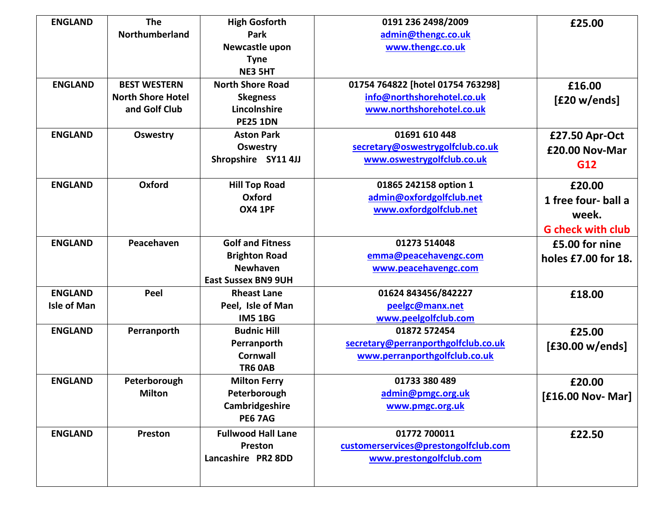| <b>ENGLAND</b>     | <b>The</b>               | <b>High Gosforth</b>       | 0191 236 2498/2009                   | £25.00                   |
|--------------------|--------------------------|----------------------------|--------------------------------------|--------------------------|
|                    | Northumberland           | Park                       | admin@thengc.co.uk                   |                          |
|                    |                          | Newcastle upon             | www.thengc.co.uk                     |                          |
|                    |                          | <b>Tyne</b>                |                                      |                          |
|                    |                          | <b>NE3 5HT</b>             |                                      |                          |
| <b>ENGLAND</b>     | <b>BEST WESTERN</b>      | <b>North Shore Road</b>    | 01754 764822 [hotel 01754 763298]    | £16.00                   |
|                    | <b>North Shore Hotel</b> | <b>Skegness</b>            | info@northshorehotel.co.uk           | [£20 w/ends]             |
|                    | and Golf Club            | Lincolnshire               | www.northshorehotel.co.uk            |                          |
|                    |                          | <b>PE25 1DN</b>            |                                      |                          |
| <b>ENGLAND</b>     | <b>Oswestry</b>          | <b>Aston Park</b>          | 01691 610 448                        | £27.50 Apr-Oct           |
|                    |                          | <b>Oswestry</b>            | secretary@oswestrygolfclub.co.uk     | £20.00 Nov-Mar           |
|                    |                          | Shropshire SY11 4JJ        | www.oswestrygolfclub.co.uk           | G12                      |
|                    |                          |                            |                                      |                          |
| <b>ENGLAND</b>     | Oxford                   | <b>Hill Top Road</b>       | 01865 242158 option 1                | £20.00                   |
|                    |                          | Oxford                     | admin@oxfordgolfclub.net             | 1 free four- ball a      |
|                    |                          | <b>OX4 1PF</b>             | www.oxfordgolfclub.net               | week.                    |
|                    |                          |                            |                                      | <b>G</b> check with club |
| <b>ENGLAND</b>     | Peacehaven               | <b>Golf and Fitness</b>    | 01273 514048                         | £5.00 for nine           |
|                    |                          | <b>Brighton Road</b>       | emma@peacehavengc.com                | holes £7.00 for 18.      |
|                    |                          | <b>Newhaven</b>            | www.peacehavengc.com                 |                          |
|                    |                          | <b>East Sussex BN9 9UH</b> |                                      |                          |
| <b>ENGLAND</b>     | Peel                     | <b>Rheast Lane</b>         | 01624 843456/842227                  | £18.00                   |
| <b>Isle of Man</b> |                          | Peel, Isle of Man          | peelgc@manx.net                      |                          |
|                    |                          | <b>IM5 1BG</b>             | www.peelgolfclub.com                 |                          |
| <b>ENGLAND</b>     | Perranporth              | <b>Budnic Hill</b>         | 01872 572454                         | £25.00                   |
|                    |                          | Perranporth                | secretary@perranporthgolfclub.co.uk  | [£30.00 w/ends]          |
|                    |                          | <b>Cornwall</b>            | www.perranporthgolfclub.co.uk        |                          |
|                    |                          | <b>TR6 0AB</b>             |                                      |                          |
| <b>ENGLAND</b>     | Peterborough             | <b>Milton Ferry</b>        | 01733 380 489                        | £20.00                   |
|                    | <b>Milton</b>            | Peterborough               | admin@pmgc.org.uk                    | $[£16.00 Nov-Mar]$       |
|                    |                          | Cambridgeshire             | www.pmgc.org.uk                      |                          |
|                    |                          | <b>PE6 7AG</b>             |                                      |                          |
| <b>ENGLAND</b>     | Preston                  | <b>Fullwood Hall Lane</b>  | 01772 700011                         | £22.50                   |
|                    |                          | Preston                    | customerservices@prestongolfclub.com |                          |
|                    |                          | Lancashire PR2 8DD         | www.prestongolfclub.com              |                          |
|                    |                          |                            |                                      |                          |
|                    |                          |                            |                                      |                          |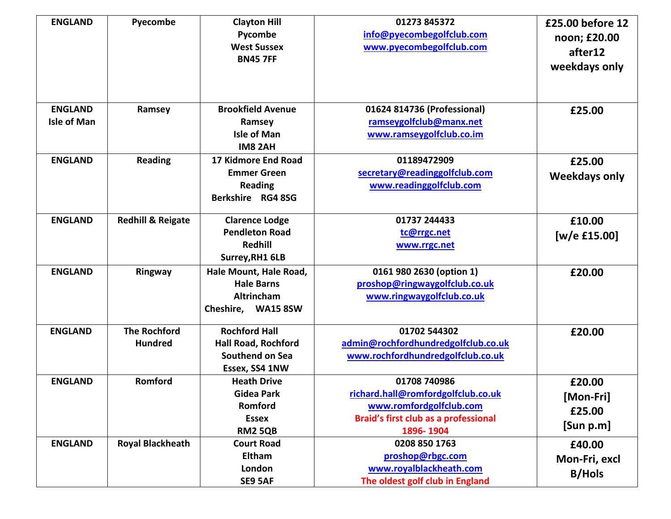| <b>ENGLAND</b>                       | Pyecombe                              | <b>Clayton Hill</b><br>Pycombe<br><b>West Sussex</b><br><b>BN45 7FF</b>                 | 01273 845372<br>info@pyecombegolfclub.com<br>www.pyecombegolfclub.com                                                              | £25.00 before 12<br>noon; £20.00<br>after12<br>weekdays only |
|--------------------------------------|---------------------------------------|-----------------------------------------------------------------------------------------|------------------------------------------------------------------------------------------------------------------------------------|--------------------------------------------------------------|
| <b>ENGLAND</b><br><b>Isle of Man</b> | Ramsey                                | <b>Brookfield Avenue</b><br>Ramsey<br><b>Isle of Man</b><br><b>IM8 2AH</b>              | 01624 814736 (Professional)<br>ramseygolfclub@manx.net<br>www.ramseygolfclub.co.im                                                 | £25.00                                                       |
| <b>ENGLAND</b>                       | <b>Reading</b>                        | 17 Kidmore End Road<br><b>Emmer Green</b><br><b>Reading</b><br>Berkshire RG4 8SG        | 01189472909<br>secretary@readinggolfclub.com<br>www.readinggolfclub.com                                                            | £25.00<br><b>Weekdays only</b>                               |
| <b>ENGLAND</b>                       | <b>Redhill &amp; Reigate</b>          | <b>Clarence Lodge</b><br><b>Pendleton Road</b><br><b>Redhill</b><br>Surrey, RH1 6LB     | 01737 244433<br>tc@rrgc.net<br>www.rrgc.net                                                                                        | £10.00<br>[ $w/e$ £15.00]                                    |
| <b>ENGLAND</b>                       | Ringway                               | Hale Mount, Hale Road,<br><b>Hale Barns</b><br>Altrincham<br>Cheshire, WA15 8SW         | 0161 980 2630 (option 1)<br>proshop@ringwaygolfclub.co.uk<br>www.ringwaygolfclub.co.uk                                             | £20.00                                                       |
| <b>ENGLAND</b>                       | <b>The Rochford</b><br><b>Hundred</b> | <b>Rochford Hall</b><br><b>Hall Road, Rochford</b><br>Southend on Sea<br>Essex, SS4 1NW | 01702 544302<br>admin@rochfordhundredgolfclub.co.uk<br>www.rochfordhundredgolfclub.co.uk                                           | £20.00                                                       |
| <b>ENGLAND</b>                       | Romford                               | <b>Heath Drive</b><br><b>Gidea Park</b><br>Romford<br><b>Essex</b><br><b>RM2 5QB</b>    | 01708 740986<br>richard.hall@romfordgolfclub.co.uk<br>www.romfordgolfclub.com<br>Braid's first club as a professional<br>1896-1904 | £20.00<br>[Mon-Fri]<br>£25.00<br>[Sum p.m]                   |
| <b>ENGLAND</b>                       | <b>Royal Blackheath</b>               | <b>Court Road</b><br>Eltham<br>London<br>SE9 5AF                                        | 0208 850 1763<br>proshop@rbgc.com<br>www.royalblackheath.com<br>The oldest golf club in England                                    | £40.00<br>Mon-Fri, excl<br><b>B/Hols</b>                     |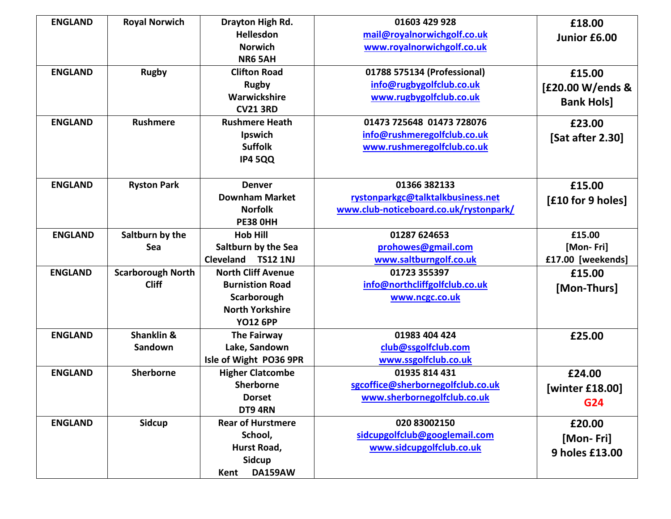| <b>ENGLAND</b> | <b>Royal Norwich</b>     | Drayton High Rd.             | 01603 429 928                          | £18.00            |
|----------------|--------------------------|------------------------------|----------------------------------------|-------------------|
|                |                          | Hellesdon                    | mail@royalnorwichgolf.co.uk            | Junior £6.00      |
|                |                          | <b>Norwich</b>               | www.royalnorwichgolf.co.uk             |                   |
|                |                          | <b>NR6 5AH</b>               |                                        |                   |
| <b>ENGLAND</b> | <b>Rugby</b>             | <b>Clifton Road</b>          | 01788 575134 (Professional)            | £15.00            |
|                |                          | <b>Rugby</b>                 | info@rugbygolfclub.co.uk               | [£20.00 W/ends &  |
|                |                          | Warwickshire                 | www.rugbygolfclub.co.uk                | <b>Bank Hols]</b> |
|                |                          | <b>CV21 3RD</b>              |                                        |                   |
| <b>ENGLAND</b> | <b>Rushmere</b>          | <b>Rushmere Heath</b>        | 01473 725648 01473 728076              | £23.00            |
|                |                          | Ipswich                      | info@rushmeregolfclub.co.uk            | [Sat after 2.30]  |
|                |                          | <b>Suffolk</b>               | www.rushmeregolfclub.co.uk             |                   |
|                |                          | <b>IP4 5QQ</b>               |                                        |                   |
|                |                          |                              |                                        |                   |
| <b>ENGLAND</b> | <b>Ryston Park</b>       | <b>Denver</b>                | 01366 382133                           | £15.00            |
|                |                          | <b>Downham Market</b>        | rystonparkgc@talktalkbusiness.net      | [£10 for 9 holes] |
|                |                          | <b>Norfolk</b>               | www.club-noticeboard.co.uk/rystonpark/ |                   |
|                |                          | <b>PE38 OHH</b>              |                                        |                   |
| <b>ENGLAND</b> | Saltburn by the          | <b>Hob Hill</b>              | 01287 624653                           | £15.00            |
|                | Sea                      | Saltburn by the Sea          | prohowes@gmail.com                     | [Mon-Fri]         |
|                |                          | Cleveland<br><b>TS12 1NJ</b> | www.saltburngolf.co.uk                 | £17.00 [weekends] |
| <b>ENGLAND</b> | <b>Scarborough North</b> | <b>North Cliff Avenue</b>    | 01723 355397                           | £15.00            |
|                | <b>Cliff</b>             | <b>Burnistion Road</b>       | info@northcliffgolfclub.co.uk          | [Mon-Thurs]       |
|                |                          | Scarborough                  | www.ncgc.co.uk                         |                   |
|                |                          | <b>North Yorkshire</b>       |                                        |                   |
|                |                          | <b>YO12 6PP</b>              |                                        |                   |
| <b>ENGLAND</b> | <b>Shanklin &amp;</b>    | <b>The Fairway</b>           | 01983 404 424                          | £25.00            |
|                | Sandown                  | Lake, Sandown                | club@ssgolfclub.com                    |                   |
|                |                          | Isle of Wight PO36 9PR       | www.ssgolfclub.co.uk                   |                   |
| <b>ENGLAND</b> | <b>Sherborne</b>         | <b>Higher Clatcombe</b>      | 01935 814 431                          | £24.00            |
|                |                          | <b>Sherborne</b>             | sgcoffice@sherbornegolfclub.co.uk      | [winter £18.00]   |
|                |                          | <b>Dorset</b>                | www.sherbornegolfclub.co.uk            | G24               |
|                |                          | DT9 4RN                      |                                        |                   |
| <b>ENGLAND</b> | <b>Sidcup</b>            | <b>Rear of Hurstmere</b>     | 020 83002150                           | £20.00            |
|                |                          | School,                      | sidcupgolfclub@googlemail.com          | [Mon-Fri]         |
|                |                          | Hurst Road,                  | www.sidcupgolfclub.co.uk               | 9 holes £13.00    |
|                |                          | <b>Sidcup</b>                |                                        |                   |
|                |                          | <b>DA159AW</b><br>Kent       |                                        |                   |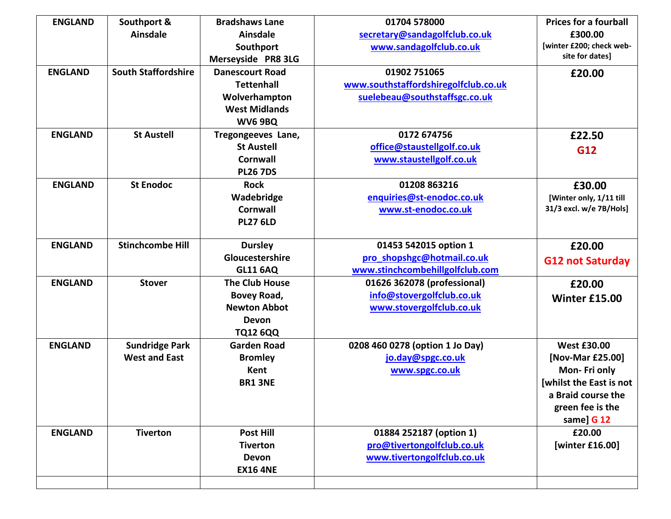| <b>ENGLAND</b> | Southport &                | <b>Bradshaws Lane</b>  | 01704 578000                         | <b>Prices for a fourball</b> |
|----------------|----------------------------|------------------------|--------------------------------------|------------------------------|
|                | <b>Ainsdale</b>            | <b>Ainsdale</b>        | secretary@sandagolfclub.co.uk        | £300.00                      |
|                |                            | Southport              | www.sandagolfclub.co.uk              | [winter £200; check web-     |
|                |                            | Merseyside PR8 3LG     |                                      | site for dates]              |
| <b>ENGLAND</b> | <b>South Staffordshire</b> | <b>Danescourt Road</b> | 01902 751065                         | £20.00                       |
|                |                            | <b>Tettenhall</b>      | www.southstaffordshiregolfclub.co.uk |                              |
|                |                            | Wolverhampton          | suelebeau@southstaffsgc.co.uk        |                              |
|                |                            | <b>West Midlands</b>   |                                      |                              |
|                |                            | <b>WV6 9BQ</b>         |                                      |                              |
| <b>ENGLAND</b> | <b>St Austell</b>          | Tregongeeves Lane,     | 0172 674756                          | £22.50                       |
|                |                            | <b>St Austell</b>      | office@staustellgolf.co.uk           | G12                          |
|                |                            | <b>Cornwall</b>        | www.staustellgolf.co.uk              |                              |
|                |                            | <b>PL26 7DS</b>        |                                      |                              |
| <b>ENGLAND</b> | <b>St Enodoc</b>           | <b>Rock</b>            | 01208 863216                         | £30.00                       |
|                |                            | Wadebridge             | enquiries@st-enodoc.co.uk            | [Winter only, 1/11 till      |
|                |                            | <b>Cornwall</b>        | www.st-enodoc.co.uk                  | 31/3 excl. w/e 7B/Hols]      |
|                |                            | <b>PL27 6LD</b>        |                                      |                              |
| <b>ENGLAND</b> | <b>Stinchcombe Hill</b>    | <b>Dursley</b>         | 01453 542015 option 1                | £20.00                       |
|                |                            | Gloucestershire        | pro shopshgc@hotmail.co.uk           | <b>G12 not Saturday</b>      |
|                |                            | <b>GL11 6AQ</b>        | www.stinchcombehillgolfclub.com      |                              |
| <b>ENGLAND</b> | <b>Stover</b>              | <b>The Club House</b>  | 01626 362078 (professional)          | £20.00                       |
|                |                            | Bovey Road,            | info@stovergolfclub.co.uk            | Winter £15.00                |
|                |                            | <b>Newton Abbot</b>    | www.stovergolfclub.co.uk             |                              |
|                |                            | Devon                  |                                      |                              |
|                |                            | <b>TQ12 6QQ</b>        |                                      |                              |
| <b>ENGLAND</b> | <b>Sundridge Park</b>      | <b>Garden Road</b>     | 0208 460 0278 (option 1 Jo Day)      | <b>West £30.00</b>           |
|                | <b>West and East</b>       | <b>Bromley</b>         | jo.day@spgc.co.uk                    | [Nov-Mar £25.00]             |
|                |                            | Kent                   | www.spgc.co.uk                       | Mon-Fri only                 |
|                |                            | <b>BR1 3NE</b>         |                                      | [whilst the East is not      |
|                |                            |                        |                                      | a Braid course the           |
|                |                            |                        |                                      | green fee is the             |
|                |                            |                        |                                      | same] G 12                   |
| <b>ENGLAND</b> | <b>Tiverton</b>            | <b>Post Hill</b>       | 01884 252187 (option 1)              | £20.00                       |
|                |                            | <b>Tiverton</b>        | pro@tivertongolfclub.co.uk           | [winter £16.00]              |
|                |                            | <b>Devon</b>           | www.tivertongolfclub.co.uk           |                              |
|                |                            | <b>EX16 4NE</b>        |                                      |                              |
|                |                            |                        |                                      |                              |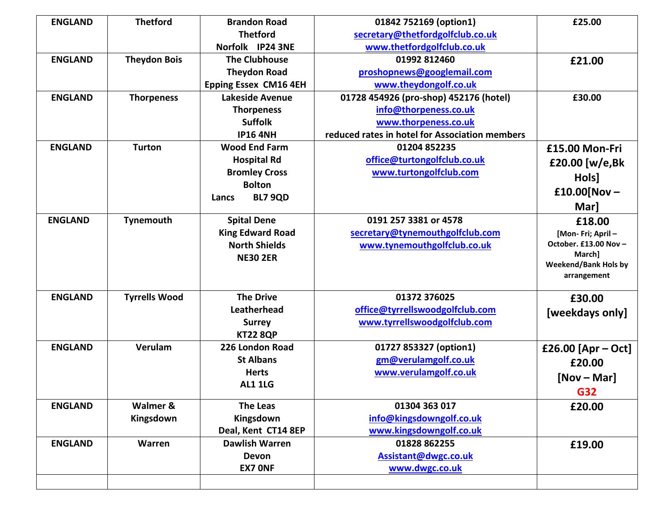| <b>ENGLAND</b> | <b>Thetford</b>      | <b>Brandon Road</b>          | 01842 752169 (option1)                         | £25.00                          |
|----------------|----------------------|------------------------------|------------------------------------------------|---------------------------------|
|                |                      | <b>Thetford</b>              | secretary@thetfordgolfclub.co.uk               |                                 |
|                |                      | Norfolk IP24 3NE             | www.thetfordgolfclub.co.uk                     |                                 |
| <b>ENGLAND</b> | <b>Theydon Bois</b>  | <b>The Clubhouse</b>         | 01992 812460                                   | £21.00                          |
|                |                      | <b>Theydon Road</b>          | proshopnews@googlemail.com                     |                                 |
|                |                      | <b>Epping Essex CM16 4EH</b> | www.theydongolf.co.uk                          |                                 |
| <b>ENGLAND</b> | <b>Thorpeness</b>    | <b>Lakeside Avenue</b>       | 01728 454926 (pro-shop) 452176 (hotel)         | £30.00                          |
|                |                      | <b>Thorpeness</b>            | info@thorpeness.co.uk                          |                                 |
|                |                      | <b>Suffolk</b>               | www.thorpeness.co.uk                           |                                 |
|                |                      | <b>IP16 4NH</b>              | reduced rates in hotel for Association members |                                 |
| <b>ENGLAND</b> | <b>Turton</b>        | <b>Wood End Farm</b>         | 01204 852235                                   | £15.00 Mon-Fri                  |
|                |                      | <b>Hospital Rd</b>           | office@turtongolfclub.co.uk                    | £20.00 [w/e,Bk                  |
|                |                      | <b>Bromley Cross</b>         | www.turtongolfclub.com                         | Hols]                           |
|                |                      | <b>Bolton</b>                |                                                |                                 |
|                |                      | <b>BL7 9QD</b><br>Lancs      |                                                | £10.00[Nov $-$                  |
|                |                      |                              |                                                | Mar]                            |
| <b>ENGLAND</b> | Tynemouth            | <b>Spital Dene</b>           | 0191 257 3381 or 4578                          | £18.00                          |
|                |                      | <b>King Edward Road</b>      | secretary@tynemouthgolfclub.com                | [Mon-Fri; April -               |
|                |                      | <b>North Shields</b>         | www.tynemouthgolfclub.co.uk                    | October. £13.00 Nov -<br>March] |
|                |                      | <b>NE30 2ER</b>              |                                                | <b>Weekend/Bank Hols by</b>     |
|                |                      |                              |                                                | arrangement                     |
|                |                      |                              |                                                |                                 |
| <b>ENGLAND</b> | <b>Tyrrells Wood</b> | <b>The Drive</b>             | 01372 376025                                   | £30.00                          |
|                |                      | Leatherhead                  | office@tyrrellswoodgolfclub.com                | [weekdays only]                 |
|                |                      | <b>Surrey</b>                | www.tyrrellswoodgolfclub.com                   |                                 |
|                |                      | <b>KT22 8QP</b>              |                                                |                                 |
| <b>ENGLAND</b> | Verulam              | 226 London Road              | 01727 853327 (option1)                         | £26.00 [Apr - Oct]              |
|                |                      | <b>St Albans</b>             | gm@verulamgolf.co.uk                           | £20.00                          |
|                |                      | <b>Herts</b>                 | www.verulamgolf.co.uk                          | $[Nov - Mar]$                   |
|                |                      | <b>AL1 1LG</b>               |                                                | G32                             |
| <b>ENGLAND</b> | Walmer &             | <b>The Leas</b>              | 01304 363 017                                  | £20.00                          |
|                | Kingsdown            | Kingsdown                    | info@kingsdowngolf.co.uk                       |                                 |
|                |                      | Deal, Kent CT14 8EP          | www.kingsdowngolf.co.uk                        |                                 |
| <b>ENGLAND</b> | Warren               | <b>Dawlish Warren</b>        | 01828 862255                                   | £19.00                          |
|                |                      | Devon                        | Assistant@dwgc.co.uk                           |                                 |
|                |                      | <b>EX7 ONF</b>               | www.dwgc.co.uk                                 |                                 |
|                |                      |                              |                                                |                                 |
|                |                      |                              |                                                |                                 |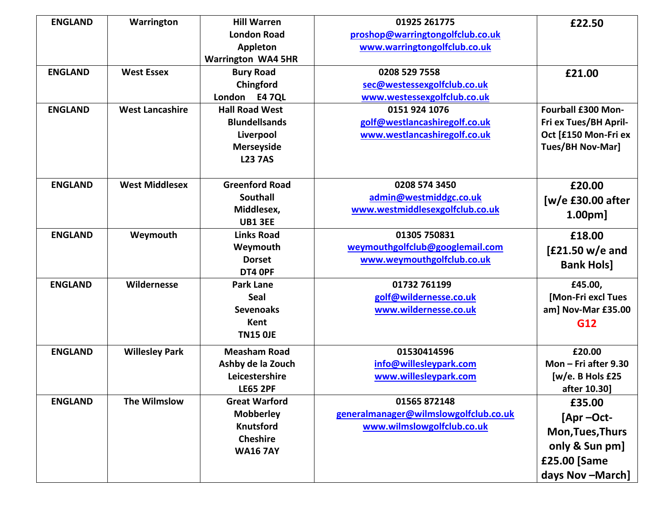| <b>ENGLAND</b> | Warrington             | <b>Hill Warren</b>        | 01925 261775                          | £22.50                  |
|----------------|------------------------|---------------------------|---------------------------------------|-------------------------|
|                |                        | <b>London Road</b>        | proshop@warringtongolfclub.co.uk      |                         |
|                |                        | <b>Appleton</b>           | www.warringtongolfclub.co.uk          |                         |
|                |                        | <b>Warrington WA4 5HR</b> |                                       |                         |
| <b>ENGLAND</b> | <b>West Essex</b>      | <b>Bury Road</b>          | 0208 529 7558                         | £21.00                  |
|                |                        | Chingford                 | sec@westessexgolfclub.co.uk           |                         |
|                |                        | London E4 7QL             | www.westessexgolfclub.co.uk           |                         |
| <b>ENGLAND</b> | <b>West Lancashire</b> | <b>Hall Road West</b>     | 0151 924 1076                         | Fourball £300 Mon-      |
|                |                        | <b>Blundellsands</b>      | golf@westlancashiregolf.co.uk         | Fri ex Tues/BH April-   |
|                |                        | Liverpool                 | www.westlancashiregolf.co.uk          | Oct [£150 Mon-Fri ex    |
|                |                        | <b>Merseyside</b>         |                                       | <b>Tues/BH Nov-Mar]</b> |
|                |                        | <b>L23 7AS</b>            |                                       |                         |
|                |                        |                           |                                       |                         |
| <b>ENGLAND</b> | <b>West Middlesex</b>  | <b>Greenford Road</b>     | 0208 574 3450                         | £20.00                  |
|                |                        | <b>Southall</b>           | admin@westmiddgc.co.uk                | [w/e £30.00 after       |
|                |                        | Middlesex,                | www.westmiddlesexgolfclub.co.uk       | 1.00 <sub>pm</sub>      |
|                |                        | <b>UB1 3EE</b>            |                                       |                         |
| <b>ENGLAND</b> | Weymouth               | <b>Links Road</b>         | 01305 750831                          | £18.00                  |
|                |                        | Weymouth                  | weymouthgolfclub@googlemail.com       | $[£21.50 w/e$ and       |
|                |                        | <b>Dorset</b>             | www.weymouthgolfclub.co.uk            | <b>Bank Hols]</b>       |
|                |                        | DT4 OPF                   |                                       |                         |
| <b>ENGLAND</b> | Wildernesse            | <b>Park Lane</b>          | 01732 761199                          | £45.00,                 |
|                |                        | Seal                      | golf@wildernesse.co.uk                | [Mon-Fri excl Tues      |
|                |                        | <b>Sevenoaks</b>          | www.wildernesse.co.uk                 | am] Nov-Mar £35.00      |
|                |                        | Kent                      |                                       | G12                     |
|                |                        | <b>TN15 OJE</b>           |                                       |                         |
| <b>ENGLAND</b> | <b>Willesley Park</b>  | <b>Measham Road</b>       | 01530414596                           | £20.00                  |
|                |                        | Ashby de la Zouch         | info@willesleypark.com                | Mon $-$ Fri after 9.30  |
|                |                        | Leicestershire            | www.willesleypark.com                 | [w/e. B Hols £25        |
|                |                        | <b>LE65 2PF</b>           |                                       | after 10.30]            |
| <b>ENGLAND</b> | <b>The Wilmslow</b>    | <b>Great Warford</b>      | 01565 872148                          | £35.00                  |
|                |                        | <b>Mobberley</b>          | generalmanager@wilmslowgolfclub.co.uk | [Apr-Oct-               |
|                |                        | <b>Knutsford</b>          | www.wilmslowgolfclub.co.uk            | <b>Mon, Tues, Thurs</b> |
|                |                        | <b>Cheshire</b>           |                                       |                         |
|                |                        | <b>WA167AY</b>            |                                       | only & Sun pm]          |
|                |                        |                           |                                       | £25.00 [Same            |
|                |                        |                           |                                       | days Nov-March]         |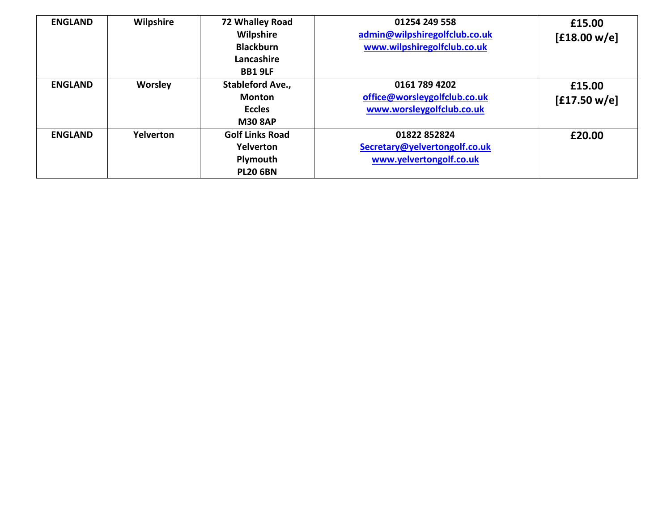| <b>ENGLAND</b> | Wilpshire        | 72 Whalley Road<br><b>Wilpshire</b><br><b>Blackburn</b><br>Lancashire<br><b>BB1 9LF</b> | 01254 249 558<br>admin@wilpshiregolfclub.co.uk<br>www.wilpshiregolfclub.co.uk | £15.00<br>[£18.00 w/e] |
|----------------|------------------|-----------------------------------------------------------------------------------------|-------------------------------------------------------------------------------|------------------------|
| <b>ENGLAND</b> | <b>Worsley</b>   | <b>Stableford Ave.,</b><br><b>Monton</b><br><b>Eccles</b><br><b>M30 8AP</b>             | 0161 789 4202<br>office@worsleygolfclub.co.uk<br>www.worsleygolfclub.co.uk    | £15.00<br>[£17.50 w/e] |
| <b>ENGLAND</b> | <b>Yelverton</b> | <b>Golf Links Road</b><br>Yelverton<br>Plymouth<br><b>PL20 6BN</b>                      | 01822 852824<br>Secretary@yelvertongolf.co.uk<br>www.yelvertongolf.co.uk      | £20.00                 |